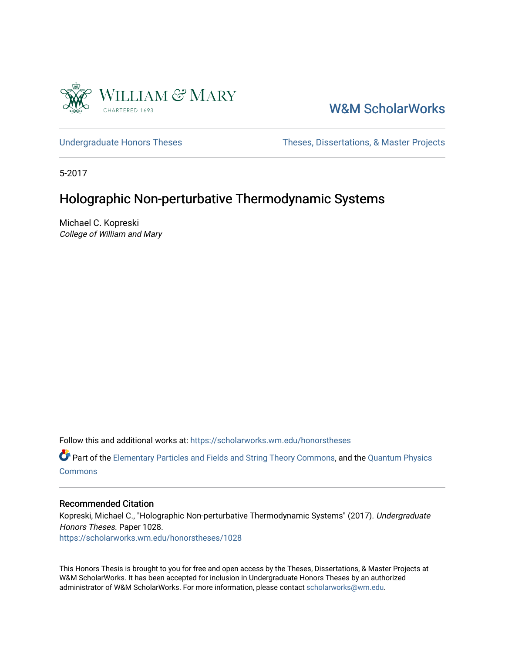

## [W&M ScholarWorks](https://scholarworks.wm.edu/)

[Undergraduate Honors Theses](https://scholarworks.wm.edu/honorstheses) Theses Theses, Dissertations, & Master Projects

5-2017

## Holographic Non-perturbative Thermodynamic Systems

Michael C. Kopreski College of William and Mary

Follow this and additional works at: [https://scholarworks.wm.edu/honorstheses](https://scholarworks.wm.edu/honorstheses?utm_source=scholarworks.wm.edu%2Fhonorstheses%2F1028&utm_medium=PDF&utm_campaign=PDFCoverPages) 

**P** Part of the [Elementary Particles and Fields and String Theory Commons](http://network.bepress.com/hgg/discipline/199?utm_source=scholarworks.wm.edu%2Fhonorstheses%2F1028&utm_medium=PDF&utm_campaign=PDFCoverPages), and the [Quantum Physics](http://network.bepress.com/hgg/discipline/206?utm_source=scholarworks.wm.edu%2Fhonorstheses%2F1028&utm_medium=PDF&utm_campaign=PDFCoverPages) **[Commons](http://network.bepress.com/hgg/discipline/206?utm_source=scholarworks.wm.edu%2Fhonorstheses%2F1028&utm_medium=PDF&utm_campaign=PDFCoverPages)** 

#### Recommended Citation

Kopreski, Michael C., "Holographic Non-perturbative Thermodynamic Systems" (2017). Undergraduate Honors Theses. Paper 1028.

[https://scholarworks.wm.edu/honorstheses/1028](https://scholarworks.wm.edu/honorstheses/1028?utm_source=scholarworks.wm.edu%2Fhonorstheses%2F1028&utm_medium=PDF&utm_campaign=PDFCoverPages)

This Honors Thesis is brought to you for free and open access by the Theses, Dissertations, & Master Projects at W&M ScholarWorks. It has been accepted for inclusion in Undergraduate Honors Theses by an authorized administrator of W&M ScholarWorks. For more information, please contact [scholarworks@wm.edu.](mailto:scholarworks@wm.edu)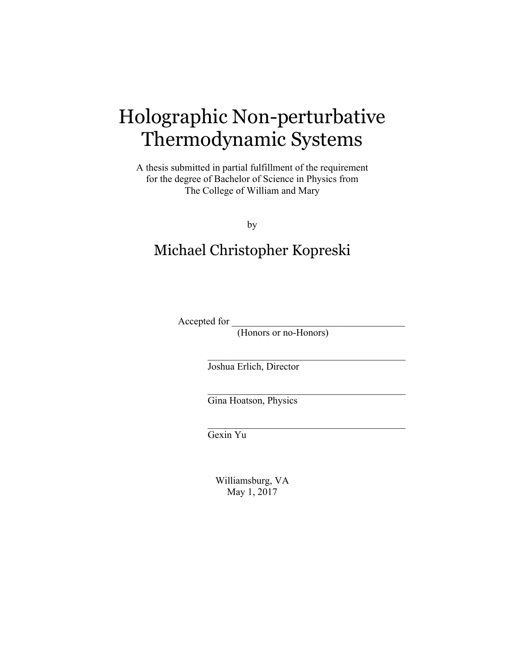# Holographic Non-perturbative Thermodynamic Systems

A thesis submitted in partial fulfillment of the requirement for the degree of Bachelor of Science in Physics from The College of William and Mary

by

# Michael Christopher Kopreski

Accepted for \_\_\_\_\_\_\_\_\_\_\_\_\_\_\_\_\_\_\_\_\_\_\_\_\_\_\_\_\_\_\_\_\_\_\_

(Honors or no-Honors)

 $\mathcal{L}_\text{max}$  and  $\mathcal{L}_\text{max}$  and  $\mathcal{L}_\text{max}$  and  $\mathcal{L}_\text{max}$ 

 $\mathcal{L}_\text{max}$  and  $\mathcal{L}_\text{max}$  and  $\mathcal{L}_\text{max}$  and  $\mathcal{L}_\text{max}$ 

 $\mathcal{L}_\text{max}$  and  $\mathcal{L}_\text{max}$  and  $\mathcal{L}_\text{max}$  and  $\mathcal{L}_\text{max}$ 

Joshua Erlich, Director

Gina Hoatson, Physics

Gexin Yu

Williamsburg, VA May 1, 2017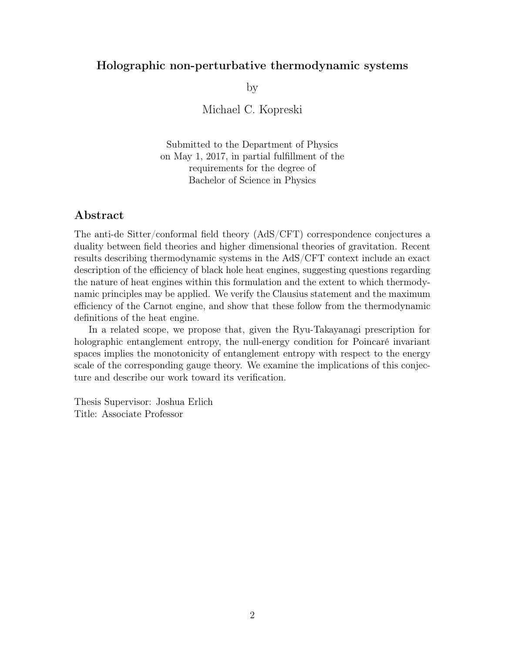### Holographic non-perturbative thermodynamic systems

by

Michael C. Kopreski

Submitted to the Department of Physics on May 1, 2017, in partial fulfillment of the requirements for the degree of Bachelor of Science in Physics

#### Abstract

The anti-de Sitter/conformal field theory (AdS/CFT) correspondence conjectures a duality between field theories and higher dimensional theories of gravitation. Recent results describing thermodynamic systems in the AdS/CFT context include an exact description of the efficiency of black hole heat engines, suggesting questions regarding the nature of heat engines within this formulation and the extent to which thermodynamic principles may be applied. We verify the Clausius statement and the maximum efficiency of the Carnot engine, and show that these follow from the thermodynamic definitions of the heat engine.

In a related scope, we propose that, given the Ryu-Takayanagi prescription for holographic entanglement entropy, the null-energy condition for Poincaré invariant spaces implies the monotonicity of entanglement entropy with respect to the energy scale of the corresponding gauge theory. We examine the implications of this conjecture and describe our work toward its verification.

Thesis Supervisor: Joshua Erlich Title: Associate Professor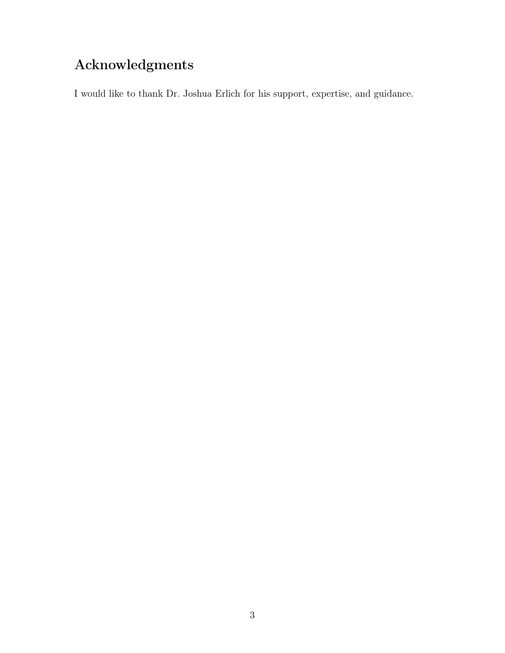# Acknowledgments

I would like to thank Dr. Joshua Erlich for his support, expertise, and guidance.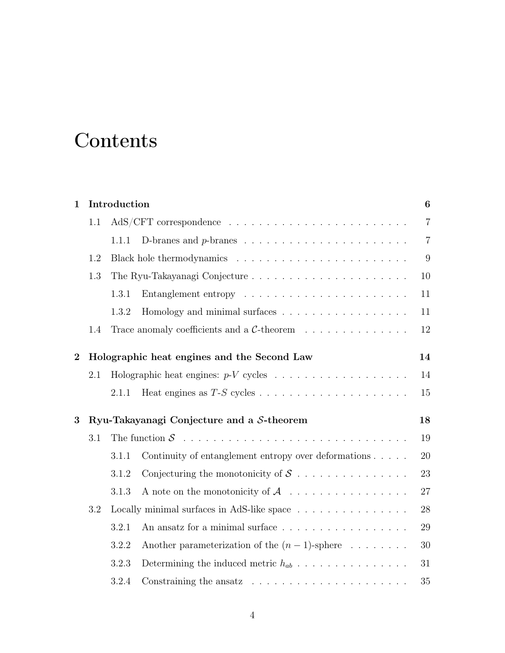# **Contents**

| $\mathbf{1}$     | Introduction                              |                                            |                                                                            |                |
|------------------|-------------------------------------------|--------------------------------------------|----------------------------------------------------------------------------|----------------|
|                  | 1.1                                       |                                            |                                                                            | $\overline{7}$ |
|                  |                                           | 1.1.1                                      |                                                                            | $\overline{7}$ |
| 1.2              |                                           |                                            | 9                                                                          |                |
|                  | 1.3                                       |                                            |                                                                            | 10             |
|                  |                                           | 1.3.1                                      |                                                                            | 11             |
|                  |                                           | 1.3.2                                      | Homology and minimal surfaces                                              | 11             |
|                  | 1.4                                       |                                            | Trace anomaly coefficients and a $C$ -theorem                              | 12             |
| $\boldsymbol{2}$ |                                           |                                            | Holographic heat engines and the Second Law                                | 14             |
|                  | 2.1                                       |                                            |                                                                            | 14             |
|                  |                                           | 2.1.1                                      |                                                                            | 15             |
| 3                | Ryu-Takayanagi Conjecture and a S-theorem |                                            |                                                                            |                |
|                  | 3.1                                       |                                            |                                                                            | 19             |
|                  |                                           | 3.1.1                                      | Continuity of entanglement entropy over deformations                       | 20             |
|                  |                                           | 3.1.2                                      | Conjecturing the monotonicity of $S$                                       | 23             |
|                  |                                           | 3.1.3                                      | A note on the monotonicity of $\mathcal A$                                 | 27             |
|                  | 3.2                                       | Locally minimal surfaces in AdS-like space |                                                                            |                |
|                  |                                           | 3.2.1                                      | An ansatz for a minimal surface                                            | 29             |
|                  |                                           | 3.2.2                                      | Another parameterization of the $(n-1)$ -sphere                            | 30             |
|                  |                                           | 3.2.3                                      | Determining the induced metric $h_{ab}$                                    | 31             |
|                  |                                           | 3.2.4                                      | Constraining the ansatz $\ldots \ldots \ldots \ldots \ldots \ldots \ldots$ | 35             |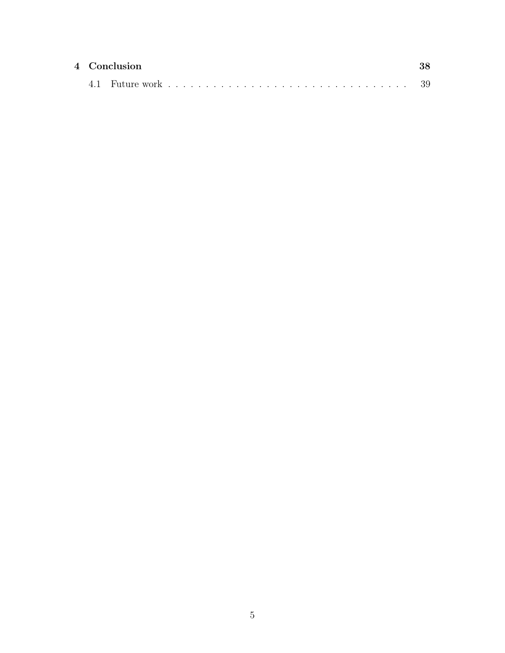|  | 4 Conclusion |  |  |  |  |
|--|--------------|--|--|--|--|
|  |              |  |  |  |  |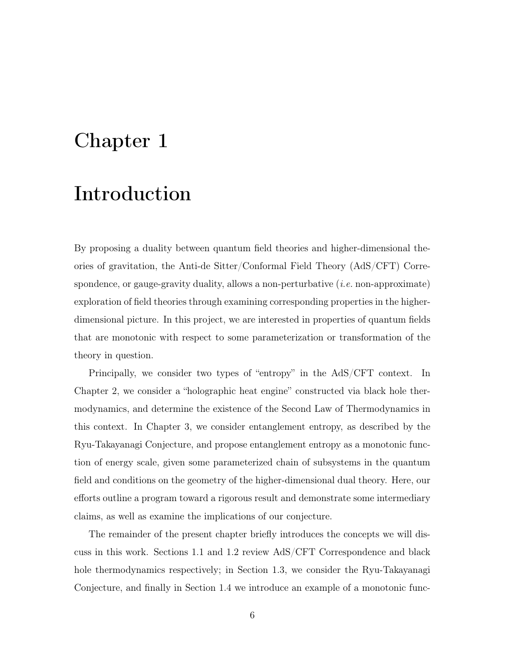# <span id="page-6-0"></span>Chapter 1

# Introduction

By proposing a duality between quantum field theories and higher-dimensional theories of gravitation, the Anti-de Sitter/Conformal Field Theory (AdS/CFT) Correspondence, or gauge-gravity duality, allows a non-perturbative (*i.e.* non-approximate) exploration of field theories through examining corresponding properties in the higherdimensional picture. In this project, we are interested in properties of quantum fields that are monotonic with respect to some parameterization or transformation of the theory in question.

Principally, we consider two types of "entropy" in the AdS/CFT context. In Chapter [2,](#page-14-0) we consider a "holographic heat engine" constructed via black hole thermodynamics, and determine the existence of the Second Law of Thermodynamics in this context. In Chapter [3,](#page-18-0) we consider entanglement entropy, as described by the Ryu-Takayanagi Conjecture, and propose entanglement entropy as a monotonic function of energy scale, given some parameterized chain of subsystems in the quantum field and conditions on the geometry of the higher-dimensional dual theory. Here, our efforts outline a program toward a rigorous result and demonstrate some intermediary claims, as well as examine the implications of our conjecture.

The remainder of the present chapter briefly introduces the concepts we will discuss in this work. Sections [1.1](#page-7-0) and [1.2](#page-9-0) review AdS/CFT Correspondence and black hole thermodynamics respectively; in Section [1.3,](#page-10-0) we consider the Ryu-Takayanagi Conjecture, and finally in Section [1.4](#page-12-0) we introduce an example of a monotonic func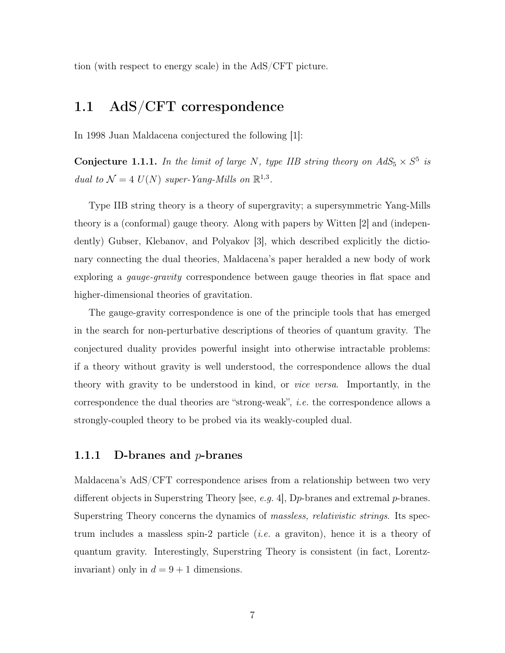tion (with respect to energy scale) in the AdS/CFT picture.

### <span id="page-7-0"></span>1.1 AdS/CFT correspondence

In 1998 Juan Maldacena conjectured the following [\[1\]](#page-41-0):

Conjecture 1.1.1. *In the limit of large N, type IIB string theory on*  $AdS_5 \times S^5$  *is dual to*  $\mathcal{N} = 4$   $U(N)$  *super-Yang-Mills on*  $\mathbb{R}^{1,3}$ *.* 

Type IIB string theory is a theory of supergravity; a supersymmetric Yang-Mills theory is a (conformal) gauge theory. Along with papers by Witten [\[2\]](#page-41-1) and (independently) Gubser, Klebanov, and Polyakov [\[3\]](#page-41-2), which described explicitly the dictionary connecting the dual theories, Maldacena's paper heralded a new body of work exploring a *gauge-gravity* correspondence between gauge theories in flat space and higher-dimensional theories of gravitation.

The gauge-gravity correspondence is one of the principle tools that has emerged in the search for non-perturbative descriptions of theories of quantum gravity. The conjectured duality provides powerful insight into otherwise intractable problems: if a theory without gravity is well understood, the correspondence allows the dual theory with gravity to be understood in kind, or *vice versa*. Importantly, in the correspondence the dual theories are "strong-weak", *i.e.* the correspondence allows a strongly-coupled theory to be probed via its weakly-coupled dual.

#### <span id="page-7-1"></span>1.1.1 D-branes and *p*-branes

Maldacena's AdS/CFT correspondence arises from a relationship between two very different objects in Superstring Theory [see, *e.g.* [4\]](#page-41-3), D*p*-branes and extremal *p*-branes. Superstring Theory concerns the dynamics of *massless, relativistic strings*. Its spectrum includes a massless spin-2 particle (*i.e.* a graviton), hence it is a theory of quantum gravity. Interestingly, Superstring Theory is consistent (in fact, Lorentzinvariant) only in  $d = 9 + 1$  dimensions.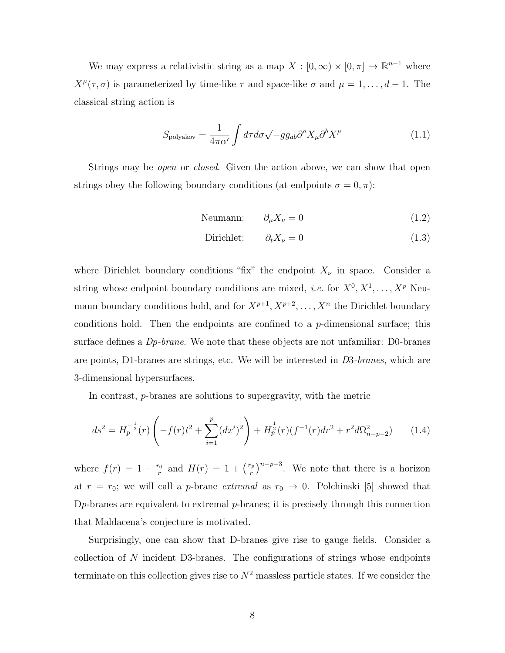We may express a relativistic string as a map  $X : [0, \infty) \times [0, \pi] \to \mathbb{R}^{n-1}$  where  $X^{\mu}(\tau,\sigma)$  is parameterized by time-like  $\tau$  and space-like  $\sigma$  and  $\mu = 1, \ldots, d-1$ . The classical string action is

$$
S_{\text{polyakov}} = \frac{1}{4\pi\alpha'} \int d\tau d\sigma \sqrt{-g} g_{ab} \partial^a X_\mu \partial^b X^\mu \tag{1.1}
$$

Strings may be *open* or *closed*. Given the action above, we can show that open strings obey the following boundary conditions (at endpoints  $\sigma = 0, \pi$ ):

$$
Neumann: \t\partial_{\mu} X_{\nu} = 0 \t\t(1.2)
$$

Dirichlet: 
$$
\partial_t X_\nu = 0
$$
 (1.3)

where Dirichlet boundary conditions "fix" the endpoint  $X_{\nu}$  in space. Consider a string whose endpoint boundary conditions are mixed, *i.e.* for  $X^0, X^1, \ldots, X^p$  Neumann boundary conditions hold, and for  $X^{p+1}, X^{p+2}, \ldots, X^n$  the Dirichlet boundary conditions hold. Then the endpoints are confined to a *p*-dimensional surface; this surface defines a *Dp-brane*. We note that these objects are not unfamiliar: D0-branes are points, D1-branes are strings, etc. We will be interested in *D*3*-branes*, which are 3-dimensional hypersurfaces.

In contrast, *p*-branes are solutions to supergravity, with the metric

$$
ds^{2} = H_{p}^{-\frac{1}{2}}(r)\left(-f(r)t^{2} + \sum_{i=1}^{p}(dx^{i})^{2}\right) + H_{p}^{\frac{1}{2}}(r)(f^{-1}(r)dr^{2} + r^{2}d\Omega_{n-p-2}^{2}) \qquad (1.4)
$$

where  $f(r) = 1 - \frac{r_0}{r}$  and  $H(r) = 1 + \left(\frac{r_p}{r}\right)^{n-p-3}$ . We note that there is a horizon at  $r = r_0$ ; we will call a *p*-brane *extremal* as  $r_0 \rightarrow 0$ . Polchinski [\[5\]](#page-41-4) showed that D*p*-branes are equivalent to extremal *p*-branes; it is precisely through this connection that Maldacena's conjecture is motivated.

Surprisingly, one can show that D-branes give rise to gauge fields. Consider a collection of *N* incident D3-branes. The configurations of strings whose endpoints terminate on this collection gives rise to  $N^2$  massless particle states. If we consider the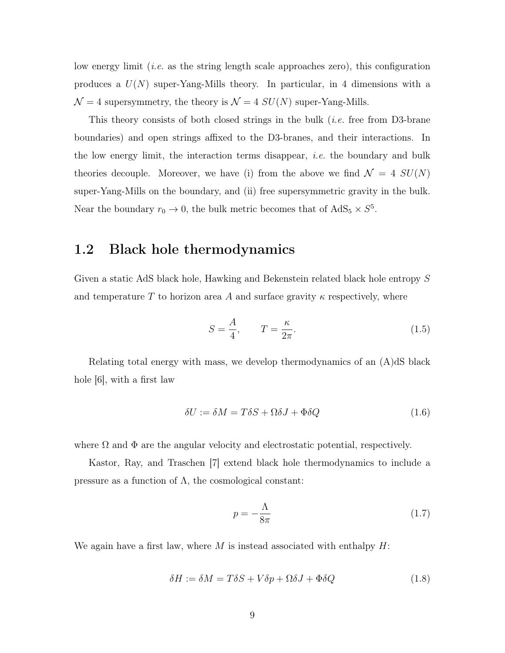low energy limit (*i.e.* as the string length scale approaches zero), this configuration produces a *U*(*N*) super-Yang-Mills theory. In particular, in 4 dimensions with a  $\mathcal{N} = 4$  supersymmetry, the theory is  $\mathcal{N} = 4$  *SU*(*N*) super-Yang-Mills.

This theory consists of both closed strings in the bulk (*i.e.* free from D3-brane boundaries) and open strings affixed to the D3-branes, and their interactions. In the low energy limit, the interaction terms disappear, *i.e.* the boundary and bulk theories decouple. Moreover, we have (i) from the above we find  $\mathcal{N} = 4$   $SU(N)$ super-Yang-Mills on the boundary, and (ii) free supersymmetric gravity in the bulk. Near the boundary  $r_0 \to 0$ , the bulk metric becomes that of AdS<sub>5</sub>  $\times$  *S*<sup>5</sup>.

### <span id="page-9-0"></span>1.2 Black hole thermodynamics

Given a static AdS black hole, Hawking and Bekenstein related black hole entropy *S* and temperature  $T$  to horizon area  $A$  and surface gravity  $\kappa$  respectively, where

$$
S = \frac{A}{4}, \qquad T = \frac{\kappa}{2\pi}.
$$
\n(1.5)

Relating total energy with mass, we develop thermodynamics of an (A)dS black hole [\[6\]](#page-41-5), with a first law

$$
\delta U := \delta M = T\delta S + \Omega \delta J + \Phi \delta Q \tag{1.6}
$$

where  $\Omega$  and  $\Phi$  are the angular velocity and electrostatic potential, respectively.

Kastor, Ray, and Traschen [\[7\]](#page-41-6) extend black hole thermodynamics to include a pressure as a function of  $\Lambda$ , the cosmological constant:

$$
p = -\frac{\Lambda}{8\pi} \tag{1.7}
$$

We again have a first law, where *M* is instead associated with enthalpy *H*:

$$
\delta H := \delta M = T\delta S + V\delta p + \Omega \delta J + \Phi \delta Q \tag{1.8}
$$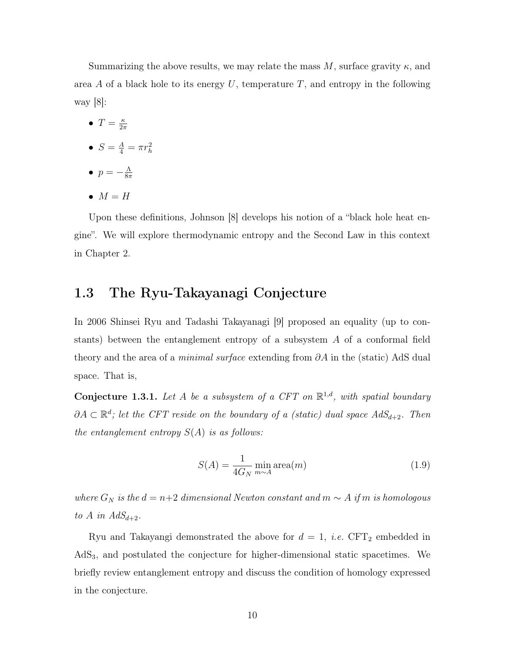Summarizing the above results, we may relate the mass M, surface gravity  $\kappa$ , and area *A* of a black hole to its energy *U*, temperature *T*, and entropy in the following way [\[8\]](#page-41-7):

- $T = \frac{\kappa}{2\pi}$
- $S = \frac{A}{4} = \pi r_h^2$
- $p = -\frac{\Lambda}{8\pi}$
- $M = H$

Upon these definitions, Johnson [\[8\]](#page-41-7) develops his notion of a "black hole heat engine". We will explore thermodynamic entropy and the Second Law in this context in Chapter [2.](#page-14-0)

### <span id="page-10-0"></span>1.3 The Ryu-Takayanagi Conjecture

In 2006 Shinsei Ryu and Tadashi Takayanagi [\[9\]](#page-41-8) proposed an equality (up to constants) between the entanglement entropy of a subsystem *A* of a conformal field theory and the area of a *minimal surface* extending from  $\partial A$  in the (static) AdS dual space. That is,

<span id="page-10-1"></span>Conjecture 1.3.1. Let  $A$  be a subsystem of a CFT on  $\mathbb{R}^{1,d}$ , with spatial boundary  $\partial A \subset \mathbb{R}^d$ ; let the CFT reside on the boundary of a (static) dual space  $AdS_{d+2}$ . Then *the entanglement entropy S*(*A*) *is as follows:*

$$
S(A) = \frac{1}{4G_N} \min_{m \sim A} \text{area}(m)
$$
\n(1.9)

*where*  $G_N$  *is the*  $d = n+2$  *dimensional Newton constant and*  $m \sim A$  *if*  $m$  *is homologous to A in AdS*<sub> $d+2$ </sub>*.* 

Ryu and Takayangi demonstrated the above for  $d = 1$ , *i.e.* CFT<sub>2</sub> embedded in  $AdS<sub>3</sub>$ , and postulated the conjecture for higher-dimensional static spacetimes. We briefly review entanglement entropy and discuss the condition of homology expressed in the conjecture.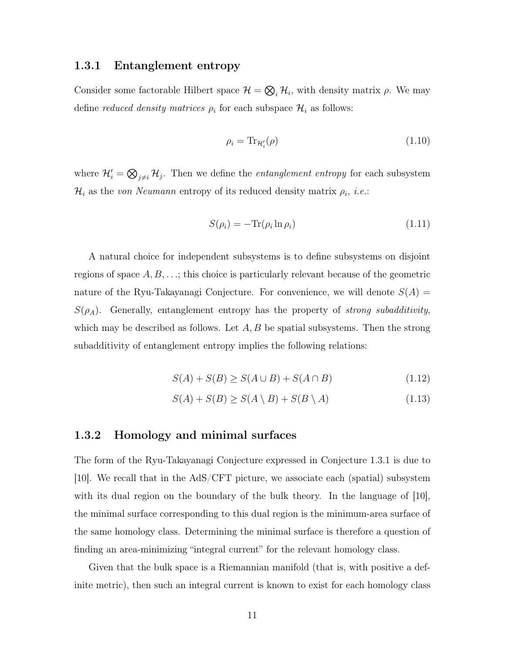#### <span id="page-11-0"></span>1.3.1 Entanglement entropy

Consider some factorable Hilbert space  $\mathcal{H} = \bigotimes_i \mathcal{H}_i$ , with density matrix  $\rho$ . We may define *reduced density matrices*  $\rho_i$  for each subspace  $\mathcal{H}_i$  as follows:

$$
\rho_i = \text{Tr}_{\mathcal{H}_i'}(\rho) \tag{1.10}
$$

where  $\mathcal{H}'_i = \bigotimes_{j \neq i} \mathcal{H}_j$ . Then we define the *entanglement entropy* for each subsystem  $\mathcal{H}_i$  as the *von Neumann* entropy of its reduced density matrix  $\rho_i$ , *i.e.*:

$$
S(\rho_i) = -\text{Tr}(\rho_i \ln \rho_i) \tag{1.11}
$$

A natural choice for independent subsystems is to define subsystems on disjoint regions of space *A, B, . . .*; this choice is particularly relevant because of the geometric nature of the Ryu-Takayanagi Conjecture. For convenience, we will denote  $S(A)$  =  $S(\rho_A)$ . Generally, entanglement entropy has the property of *strong subadditivity*, which may be described as follows. Let  $A, B$  be spatial subsystems. Then the strong subadditivity of entanglement entropy implies the following relations:

$$
S(A) + S(B) \ge S(A \cup B) + S(A \cap B)
$$
\n(1.12)

$$
S(A) + S(B) \ge S(A \setminus B) + S(B \setminus A) \tag{1.13}
$$

#### <span id="page-11-1"></span>1.3.2 Homology and minimal surfaces

The form of the Ryu-Takayanagi Conjecture expressed in Conjecture [1.3.1](#page-10-1) is due to [\[10\]](#page-41-9). We recall that in the AdS/CFT picture, we associate each (spatial) subsystem with its dual region on the boundary of the bulk theory. In the language of [\[10\]](#page-41-9), the minimal surface corresponding to this dual region is the minimum-area surface of the same homology class. Determining the minimal surface is therefore a question of finding an area-minimizing "integral current" for the relevant homology class.

Given that the bulk space is a Riemannian manifold (that is, with positive a definite metric), then such an integral current is known to exist for each homology class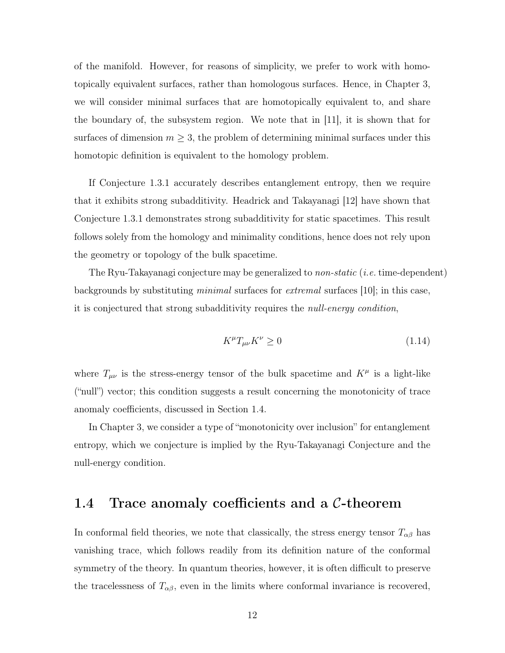of the manifold. However, for reasons of simplicity, we prefer to work with homotopically equivalent surfaces, rather than homologous surfaces. Hence, in Chapter [3,](#page-18-0) we will consider minimal surfaces that are homotopically equivalent to, and share the boundary of, the subsystem region. We note that in [\[11\]](#page-42-0), it is shown that for surfaces of dimension  $m \geq 3$ , the problem of determining minimal surfaces under this homotopic definition is equivalent to the homology problem.

If Conjecture [1.3.1](#page-10-1) accurately describes entanglement entropy, then we require that it exhibits strong subadditivity. Headrick and Takayanagi [\[12\]](#page-42-1) have shown that Conjecture [1.3.1](#page-10-1) demonstrates strong subadditivity for static spacetimes. This result follows solely from the homology and minimality conditions, hence does not rely upon the geometry or topology of the bulk spacetime.

The Ryu-Takayanagi conjecture may be generalized to *non-static* (*i.e.* time-dependent) backgrounds by substituting *minimal* surfaces for *extremal* surfaces [\[10\]](#page-41-9); in this case, it is conjectured that strong subadditivity requires the *null-energy condition*,

$$
K^{\mu}T_{\mu\nu}K^{\nu} \ge 0\tag{1.14}
$$

where  $T_{\mu\nu}$  is the stress-energy tensor of the bulk spacetime and  $K^{\mu}$  is a light-like ("null") vector; this condition suggests a result concerning the monotonicity of trace anomaly coefficients, discussed in Section [1.4.](#page-12-0)

In Chapter [3,](#page-18-0) we consider a type of "monotonicity over inclusion" for entanglement entropy, which we conjecture is implied by the Ryu-Takayanagi Conjecture and the null-energy condition.

### <span id="page-12-0"></span>1.4 Trace anomaly coefficients and a *C*-theorem

In conformal field theories, we note that classically, the stress energy tensor  $T_{\alpha\beta}$  has vanishing trace, which follows readily from its definition nature of the conformal symmetry of the theory. In quantum theories, however, it is often difficult to preserve the tracelessness of  $T_{\alpha\beta}$ , even in the limits where conformal invariance is recovered,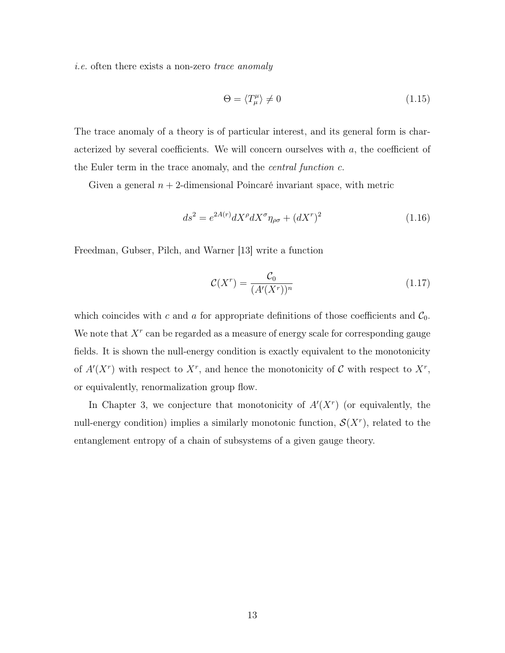*i.e.* often there exists a non-zero *trace anomaly*

$$
\Theta = \langle T_{\mu}^{\mu} \rangle \neq 0 \tag{1.15}
$$

The trace anomaly of a theory is of particular interest, and its general form is characterized by several coefficients. We will concern ourselves with *a*, the coefficient of the Euler term in the trace anomaly, and the *central function c*.

Given a general  $n + 2$ -dimensional Poincaré invariant space, with metric

$$
ds^2 = e^{2A(r)}dX^{\rho}dX^{\sigma}\eta_{\rho\sigma} + (dX^r)^2
$$
\n(1.16)

Freedman, Gubser, Pilch, and Warner [\[13\]](#page-42-2) write a function

$$
\mathcal{C}(X^r) = \frac{\mathcal{C}_0}{(A'(X^r))^n} \tag{1.17}
$$

which coincides with  $c$  and  $a$  for appropriate definitions of those coefficients and  $C_0$ . We note that *X<sup>r</sup>* can be regarded as a measure of energy scale for corresponding gauge fields. It is shown the null-energy condition is exactly equivalent to the monotonicity of  $A'(X^r)$  with respect to  $X^r$ , and hence the monotonicity of  $C$  with respect to  $X^r$ , or equivalently, renormalization group flow.

In Chapter [3,](#page-18-0) we conjecture that monotonicity of  $A'(X^r)$  (or equivalently, the null-energy condition) implies a similarly monotonic function,  $\mathcal{S}(X^r)$ , related to the entanglement entropy of a chain of subsystems of a given gauge theory.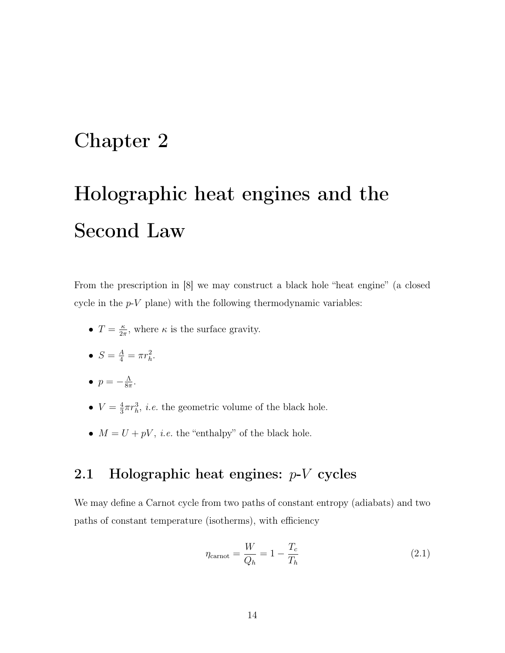# <span id="page-14-0"></span>Chapter 2

# Holographic heat engines and the Second Law

From the prescription in [\[8\]](#page-41-7) we may construct a black hole "heat engine" (a closed cycle in the *p*-*V* plane) with the following thermodynamic variables:

- $T = \frac{\kappa}{2\pi}$ , where  $\kappa$  is the surface gravity.
- $S = \frac{A}{4} = \pi r_h^2$ .
- $p = -\frac{\Lambda}{8\pi}$ .
- $V = \frac{4}{3}\pi r_h^3$ , *i.e.* the geometric volume of the black hole.
- $M = U + pV$ , *i.e.* the "enthalpy" of the black hole.

# <span id="page-14-1"></span>2.1 Holographic heat engines: *p*-*V* cycles

We may define a Carnot cycle from two paths of constant entropy (adiabats) and two paths of constant temperature (isotherms), with efficiency

$$
\eta_{\text{cannot}} = \frac{W}{Q_h} = 1 - \frac{T_c}{T_h} \tag{2.1}
$$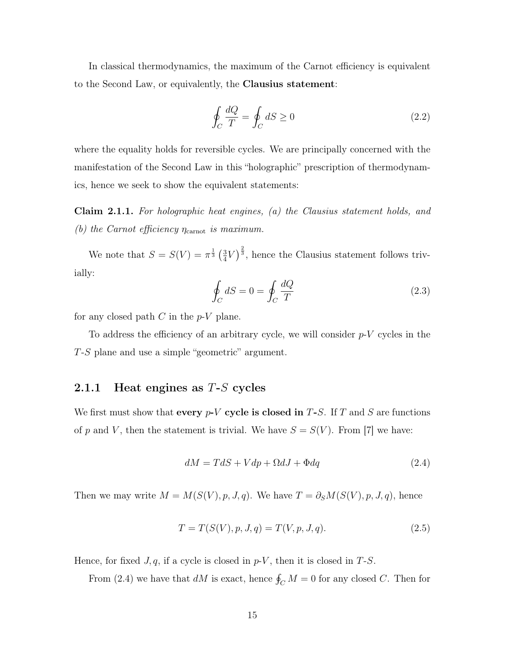In classical thermodynamics, the maximum of the Carnot efficiency is equivalent to the Second Law, or equivalently, the Clausius statement:

$$
\oint_C \frac{dQ}{T} = \oint_C dS \ge 0
$$
\n(2.2)

where the equality holds for reversible cycles. We are principally concerned with the manifestation of the Second Law in this "holographic" prescription of thermodynamics, hence we seek to show the equivalent statements:

<span id="page-15-2"></span>Claim 2.1.1. *For holographic heat engines, (a) the Clausius statement holds, and (b)* the Carnot efficiency  $\eta_{\text{carnot}}$  *is maximum.* 

We note that  $S = S(V) = \pi^{\frac{1}{3}} \left(\frac{3}{4}V\right)^{\frac{2}{3}}$ , hence the Clausius statement follows trivially:

$$
\oint_C dS = 0 = \oint_C \frac{dQ}{T}
$$
\n(2.3)

for any closed path *C* in the *p*-*V* plane.

To address the efficiency of an arbitrary cycle, we will consider *p*-*V* cycles in the *T*-*S* plane and use a simple "geometric" argument.

### <span id="page-15-0"></span>2.1.1 Heat engines as *T*-*S* cycles

We first must show that every *p*-*V* cycle is closed in *T*-*S*. If *T* and *S* are functions of *p* and *V*, then the statement is trivial. We have  $S = S(V)$ . From [\[7\]](#page-41-6) we have:

<span id="page-15-1"></span>
$$
dM = TdS + Vdp + \Omega dJ + \Phi dq \qquad (2.4)
$$

Then we may write  $M = M(S(V), p, J, q)$ . We have  $T = \partial_S M(S(V), p, J, q)$ , hence

$$
T = T(S(V), p, J, q) = T(V, p, J, q).
$$
\n(2.5)

Hence, for fixed  $J, q$ , if a cycle is closed in  $p-V$ , then it is closed in  $T-S$ .

From [\(2.4\)](#page-15-1) we have that  $dM$  is exact, hence  $\oint_C M = 0$  for any closed *C*. Then for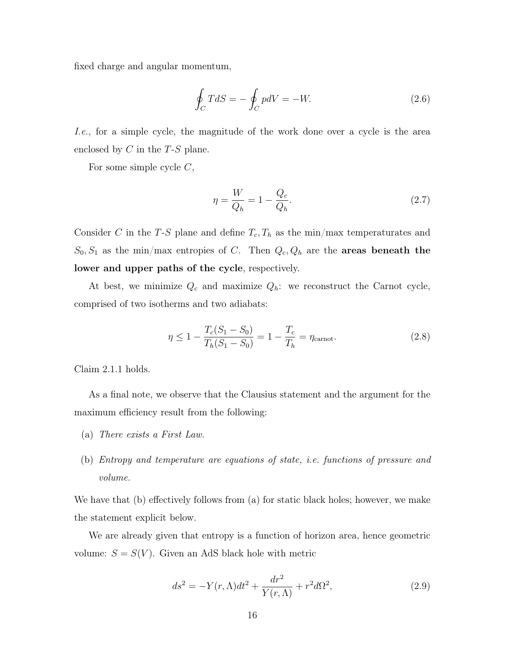fixed charge and angular momentum,

$$
\oint_C TdS = -\oint_C pdV = -W.\n\tag{2.6}
$$

*I.e.*, for a simple cycle, the magnitude of the work done over a cycle is the area enclosed by *C* in the *T*-*S* plane.

For some simple cycle *C*,

$$
\eta = \frac{W}{Q_h} = 1 - \frac{Q_c}{Q_h}.\tag{2.7}
$$

Consider *C* in the *T*-*S* plane and define  $T_c$ ,  $T_h$  as the min/max temperaturates and  $S_0, S_1$  as the min/max entropies of *C*. Then  $Q_c, Q_h$  are the **areas beneath the** lower and upper paths of the cycle, respectively.

At best, we minimize  $Q_c$  and maximize  $Q_h$ : we reconstruct the Carnot cycle, comprised of two isotherms and two adiabats:

$$
\eta \le 1 - \frac{T_c(S_1 - S_0)}{T_h(S_1 - S_0)} = 1 - \frac{T_c}{T_h} = \eta_{\text{cannot}}.
$$
\n(2.8)

Claim [2.1.1](#page-15-2) holds.

As a final note, we observe that the Clausius statement and the argument for the maximum efficiency result from the following:

- (a) *There exists a First Law.*
- (b) *Entropy and temperature are equations of state, i.e. functions of pressure and volume.*

We have that (b) effectively follows from (a) for static black holes; however, we make the statement explicit below.

We are already given that entropy is a function of horizon area, hence geometric volume:  $S = S(V)$ . Given an AdS black hole with metric

$$
ds^2 = -Y(r,\Lambda)dt^2 + \frac{dr^2}{Y(r,\Lambda)} + r^2d\Omega^2,
$$
\n(2.9)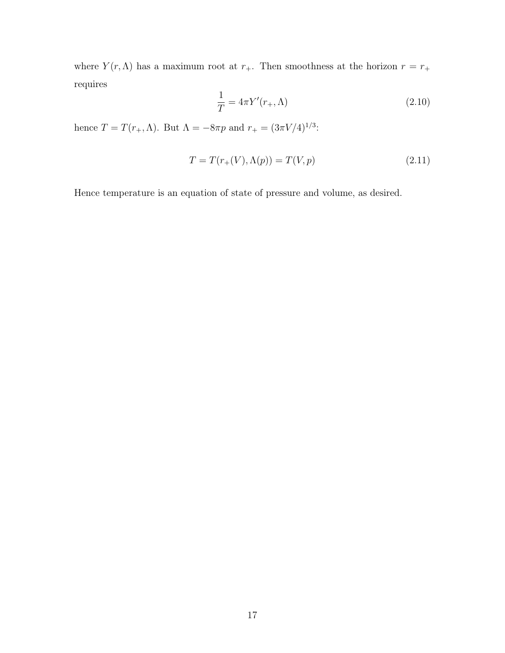where  $Y(r, \Lambda)$  has a maximum root at  $r_+$ . Then smoothness at the horizon  $r = r_+$ requires

$$
\frac{1}{T} = 4\pi Y'(r_+, \Lambda) \tag{2.10}
$$

hence  $T = T(r_+,\Lambda)$ . But  $\Lambda = -8\pi p$  and  $r_+ = (3\pi V/4)^{1/3}$ :

$$
T = T(r_{+}(V), \Lambda(p)) = T(V, p)
$$
\n(2.11)

Hence temperature is an equation of state of pressure and volume, as desired.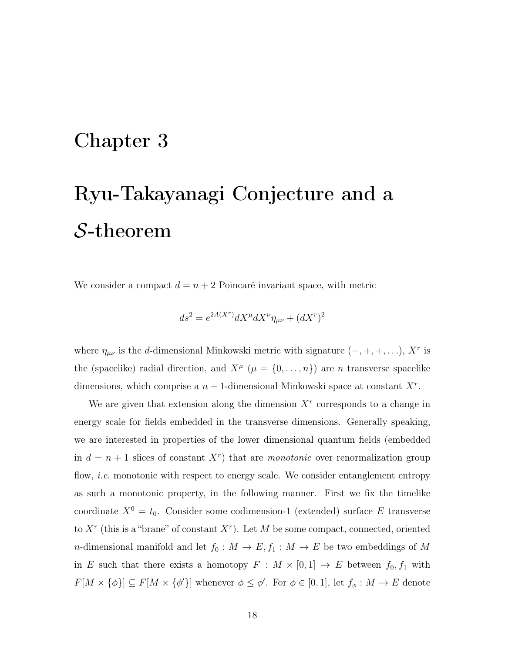# <span id="page-18-0"></span>Chapter 3

# Ryu-Takayanagi Conjecture and a *S*-theorem

We consider a compact  $d = n + 2$  Poincaré invariant space, with metric

$$
ds^2 = e^{2A(X^r)}dX^\mu dX^\nu \eta_{\mu\nu} + (dX^r)^2
$$

where  $\eta_{\mu\nu}$  is the *d*-dimensional Minkowski metric with signature  $(-, +, +, \ldots)$ ,  $X^r$  is the (spacelike) radial direction, and  $X^{\mu}$  ( $\mu = \{0, ..., n\}$ ) are *n* transverse spacelike dimensions, which comprise a  $n + 1$ -dimensional Minkowski space at constant  $X<sup>r</sup>$ .

We are given that extension along the dimension  $X<sup>r</sup>$  corresponds to a change in energy scale for fields embedded in the transverse dimensions. Generally speaking, we are interested in properties of the lower dimensional quantum fields (embedded in  $d = n + 1$  slices of constant  $X<sup>r</sup>$  that are *monotonic* over renormalization group flow, *i.e.* monotonic with respect to energy scale. We consider entanglement entropy as such a monotonic property, in the following manner. First we fix the timelike coordinate  $X^0 = t_0$ . Consider some codimension-1 (extended) surface *E* transverse to  $X<sup>r</sup>$  (this is a "brane" of constant  $X<sup>r</sup>$ ). Let M be some compact, connected, oriented *n*-dimensional manifold and let  $f_0: M \to E$ ,  $f_1: M \to E$  be two embeddings of M in *E* such that there exists a homotopy  $F : M \times [0,1] \rightarrow E$  between  $f_0, f_1$  with  $F[M \times {\phi}] \subseteq F[M \times {\phi'}]$  whenever  $\phi \leq \phi'$ . For  $\phi \in [0,1]$ , let  $f_{\phi}: M \to E$  denote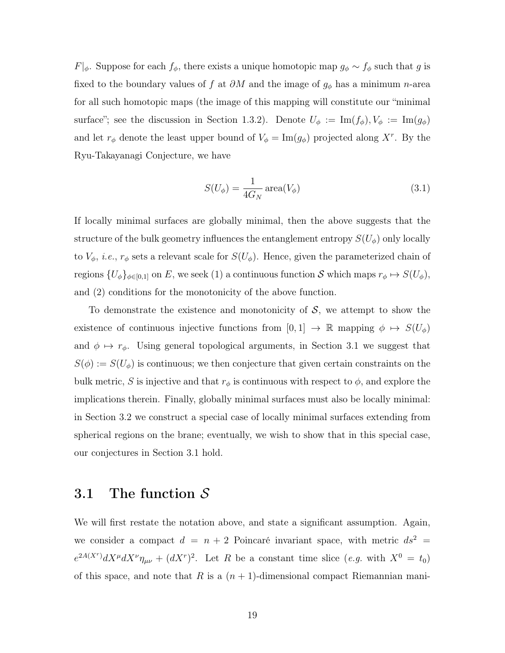$F|_{\phi}$ . Suppose for each  $f_{\phi}$ , there exists a unique homotopic map  $g_{\phi} \sim f_{\phi}$  such that *g* is fixed to the boundary values of  $f$  at  $\partial M$  and the image of  $g_{\phi}$  has a minimum *n*-area for all such homotopic maps (the image of this mapping will constitute our "minimal surface"; see the discussion in Section [1.3.2\)](#page-11-1). Denote  $U_{\phi} := \text{Im}(f_{\phi}), V_{\phi} := \text{Im}(g_{\phi})$ and let  $r_{\phi}$  denote the least upper bound of  $V_{\phi} = \text{Im}(g_{\phi})$  projected along X<sup>*r*</sup>. By the Ryu-Takayanagi Conjecture, we have

$$
S(U_{\phi}) = \frac{1}{4G_N} \operatorname{area}(V_{\phi})
$$
\n(3.1)

If locally minimal surfaces are globally minimal, then the above suggests that the structure of the bulk geometry influences the entanglement entropy  $S(U_{\phi})$  only locally to  $V_{\phi}$ , *i.e.*,  $r_{\phi}$  sets a relevant scale for  $S(U_{\phi})$ . Hence, given the parameterized chain of regions  $\{U_{\phi}\}_{\phi \in [0,1]}$  on *E*, we seek (1) a continuous function *S* which maps  $r_{\phi} \mapsto S(U_{\phi})$ , and (2) conditions for the monotonicity of the above function.

To demonstrate the existence and monotonicity of  $S$ , we attempt to show the existence of continuous injective functions from  $[0,1] \rightarrow \mathbb{R}$  mapping  $\phi \mapsto S(U_{\phi})$ and  $\phi \mapsto r_{\phi}$ . Using general topological arguments, in Section [3.1](#page-19-0) we suggest that  $S(\phi) := S(U_{\phi})$  is continuous; we then conjecture that given certain constraints on the bulk metric, *S* is injective and that  $r_{\phi}$  is continuous with respect to  $\phi$ , and explore the implications therein. Finally, globally minimal surfaces must also be locally minimal: in Section [3.2](#page-28-0) we construct a special case of locally minimal surfaces extending from spherical regions on the brane; eventually, we wish to show that in this special case, our conjectures in Section [3.1](#page-19-0) hold.

### <span id="page-19-0"></span>3.1 The function *S*

We will first restate the notation above, and state a significant assumption. Again, we consider a compact  $d = n + 2$  Poincaré invariant space, with metric  $ds^2 =$  $e^{2A(X^r)}dX^{\mu}dX^{\nu}\eta_{\mu\nu} + (dX^r)^2$ . Let *R* be a constant time slice (*e.g.* with  $X^0 = t_0$ ) of this space, and note that  $R$  is a  $(n + 1)$ -dimensional compact Riemannian mani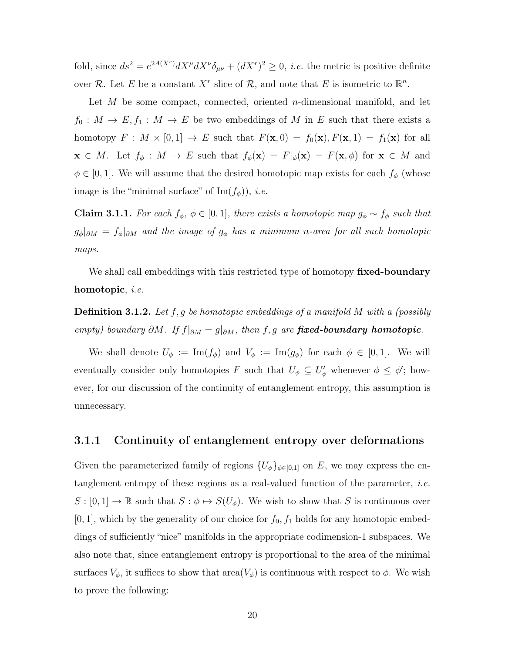fold, since  $ds^2 = e^{2A(X^r)} dX^\mu dX^\nu \delta_{\mu\nu} + (dX^r)^2 \geq 0$ , *i.e.* the metric is positive definite over  $\mathcal{R}$ . Let *E* be a constant  $X^r$  slice of  $\mathcal{R}$ , and note that *E* is isometric to  $\mathbb{R}^n$ .

Let *M* be some compact, connected, oriented *n*-dimensional manifold, and let  $f_0: M \to E, f_1: M \to E$  be two embeddings of *M* in *E* such that there exists a homotopy  $F : M \times [0,1] \rightarrow E$  such that  $F(\mathbf{x},0) = f_0(\mathbf{x}), F(\mathbf{x},1) = f_1(\mathbf{x})$  for all  $\mathbf{x} \in M$ . Let  $f_{\phi}: M \to E$  such that  $f_{\phi}(\mathbf{x}) = F|_{\phi}(\mathbf{x}) = F(\mathbf{x}, \phi)$  for  $\mathbf{x} \in M$  and  $\phi \in [0, 1]$ . We will assume that the desired homotopic map exists for each  $f_{\phi}$  (whose image is the "minimal surface" of  $\text{Im}(f_{\phi})$ , *i.e.* 

**Claim 3.1.1.** For each  $f_{\phi}$ ,  $\phi \in [0, 1]$ , there exists a homotopic map  $g_{\phi} \sim f_{\phi}$  such that  $g_{\phi}|_{\partial M} = f_{\phi}|_{\partial M}$  and the image of  $g_{\phi}$  has a minimum *n*-area for all such homotopic *maps.*

We shall call embeddings with this restricted type of homotopy fixed-boundary homotopic, *i.e.*

Definition 3.1.2. *Let f,g be homotopic embeddings of a manifold M with a (possibly empty)* boundary  $\partial M$ *. If*  $f|_{\partial M} = g|_{\partial M}$ *, then*  $f, g$  *are fixed-boundary homotopic.* 

We shall denote  $U_{\phi} := \text{Im}(f_{\phi})$  and  $V_{\phi} := \text{Im}(g_{\phi})$  for each  $\phi \in [0,1]$ . We will eventually consider only homotopies *F* such that  $U_{\phi} \subseteq U_{\phi}'$  whenever  $\phi \leq \phi'$ ; however, for our discussion of the continuity of entanglement entropy, this assumption is unnecessary.

#### <span id="page-20-0"></span>3.1.1 Continuity of entanglement entropy over deformations

<span id="page-20-1"></span>Given the parameterized family of regions  ${U_{\phi}}_{\phi\in[0,1]}$  on *E*, we may express the entanglement entropy of these regions as a real-valued function of the parameter, *i.e.*  $S : [0,1] \to \mathbb{R}$  such that  $S : \phi \mapsto S(U_{\phi})$ . We wish to show that *S* is continuous over  $[0, 1]$ , which by the generality of our choice for  $f_0, f_1$  holds for any homotopic embeddings of sufficiently "nice" manifolds in the appropriate codimension-1 subspaces. We also note that, since entanglement entropy is proportional to the area of the minimal surfaces  $V_{\phi}$ , it suffices to show that area $(V_{\phi})$  is continuous with respect to  $\phi$ . We wish to prove the following: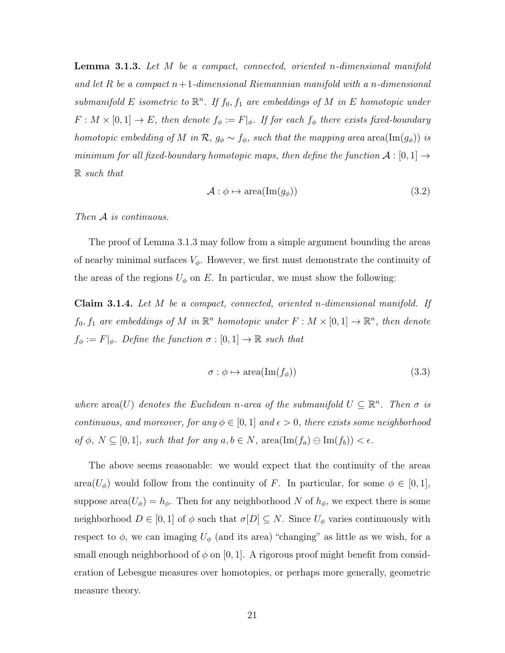Lemma 3.1.3. *Let M be a compact, connected, oriented n-dimensional manifold and let R be a compact n*+1*-dimensional Riemannian manifold with a n-dimensional submanifold*  $E$  *isometric to*  $\mathbb{R}^n$ *. If*  $f_0, f_1$  *are embeddings of*  $M$  *in*  $E$  *homotopic under*  $F: M \times [0,1] \to E$ , then denote  $f_{\phi} := F|_{\phi}$ . If for each  $f_{\phi}$  there exists fixed-boundary *homotopic embedding of M in*  $\mathcal{R}$ *,*  $g_{\phi} \sim f_{\phi}$ *, such that the mapping area* area(Im( $g_{\phi}$ )) *is minimum for all fixed-boundary homotopic maps, then define the function*  $A:[0,1] \rightarrow$ R *such that*

$$
\mathcal{A}: \phi \mapsto \text{area}(\text{Im}(g_{\phi})) \tag{3.2}
$$

*Then A is continuous.*

The proof of Lemma [3.1.3](#page-20-1) may follow from a simple argument bounding the areas of nearby minimal surfaces  $V_{\phi}$ . However, we first must demonstrate the continuity of the areas of the regions  $U_{\phi}$  on  $E$ . In particular, we must show the following:

<span id="page-21-0"></span>Claim 3.1.4. *Let M be a compact, connected, oriented n-dimensional manifold. If f*<sub>0</sub>*, f*<sub>1</sub> *are embeddings of M in*  $\mathbb{R}^n$  *homotopic under*  $F : M \times [0, 1] \rightarrow \mathbb{R}^n$ *, then denote*  $f_{\phi} := F|_{\phi}$ *. Define the function*  $\sigma : [0,1] \to \mathbb{R}$  *such that* 

$$
\sigma : \phi \mapsto \text{area}(\text{Im}(f_{\phi})) \tag{3.3}
$$

*where*  $area(U)$  *denotes the Euclidean n*-area of the submanifold  $U \subseteq \mathbb{R}^n$ . Then  $\sigma$  is *continuous, and moreover, for any*  $\phi \in [0, 1]$  *and*  $\epsilon > 0$ *, there exists some neighborhood*  $of \phi$ *,*  $N \subseteq [0,1]$ *, such that for any*  $a, b \in N$ *,* area $(\text{Im}(f_a) \ominus \text{Im}(f_b)) < \epsilon$ *.* 

The above seems reasonable: we would expect that the continuity of the areas area $(U_{\phi})$  would follow from the continuity of *F*. In particular, for some  $\phi \in [0,1]$ , suppose area $(U_{\phi}) = h_{\phi}$ . Then for any neighborhood N of  $h_{\phi}$ , we expect there is some neighborhood  $D \in [0, 1]$  of  $\phi$  such that  $\sigma[D] \subseteq N$ . Since  $U_{\phi}$  varies continuously with respect to  $\phi$ , we can imaging  $U_{\phi}$  (and its area) "changing" as little as we wish, for a small enough neighborhood of  $\phi$  on [0, 1]. A rigorous proof might benefit from consideration of Lebesgue measures over homotopies, or perhaps more generally, geometric measure theory.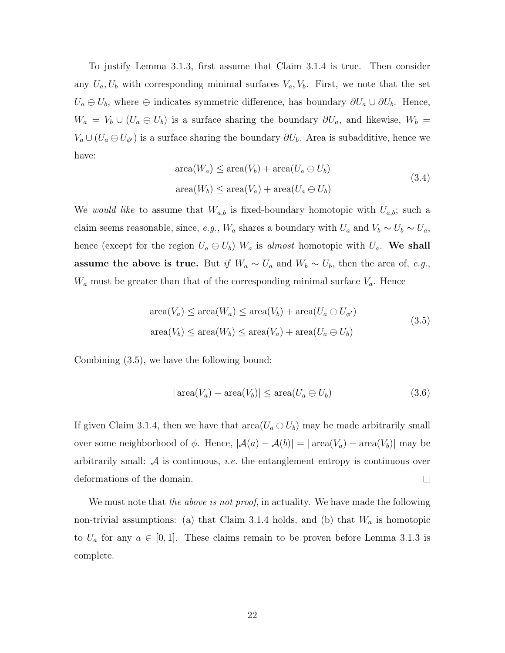To justify Lemma [3.1.3,](#page-20-1) first assume that Claim [3.1.4](#page-21-0) is true. Then consider any  $U_a, U_b$  with corresponding minimal surfaces  $V_a, V_b$ . First, we note that the set  $U_a \ominus U_b$ , where  $\ominus$  indicates symmetric difference, has boundary  $\partial U_a \cup \partial U_b$ . Hence,  $W_a = V_b \cup (U_a \oplus U_b)$  is a surface sharing the boundary  $\partial U_a$ , and likewise,  $W_b =$  $V_a \cup (U_a \oplus U_{\phi'})$  is a surface sharing the boundary  $\partial U_b$ . Area is subadditive, hence we have:

area
$$
(W_a)
$$
  $\leq$  area $(V_b)$  + area $(U_a \ominus U_b)$   
area $(W_b)$   $\leq$  area $(V_a)$  + area $(U_a \ominus U_b)$  (3.4)

We *would like* to assume that  $W_{a,b}$  is fixed-boundary homotopic with  $U_{a,b}$ ; such a claim seems reasonable, since, *e.g.*,  $W_a$  shares a boundary with  $U_a$  and  $V_b \sim U_b \sim U_a$ , hence (except for the region  $U_a \oplus U_b$ )  $W_a$  is *almost* homotopic with  $U_a$ . We shall assume the above is true. But *if*  $W_a \sim U_a$  and  $W_b \sim U_b$ , then the area of, *e.g.*,  $W_a$  must be greater than that of the corresponding minimal surface  $V_a$ . Hence

<span id="page-22-0"></span>
$$
\text{area}(V_a) \le \text{area}(W_a) \le \text{area}(V_b) + \text{area}(U_a \ominus U_{\phi'})
$$
  
\n
$$
\text{area}(V_b) \le \text{area}(W_b) \le \text{area}(V_a) + \text{area}(U_a \ominus U_b)
$$
\n(3.5)

Combining [\(3.5\)](#page-22-0), we have the following bound:

$$
|\operatorname{area}(V_a) - \operatorname{area}(V_b)| \le \operatorname{area}(U_a \ominus U_b)
$$
\n(3.6)

If given Claim [3.1.4,](#page-21-0) then we have that  $area(U_a \oplus U_b)$  may be made arbitrarily small over some neighborhood of  $\phi$ . Hence,  $|\mathcal{A}(a) - \mathcal{A}(b)| = |\operatorname{area}(V_a) - \operatorname{area}(V_b)|$  may be arbitrarily small: *A* is continuous, *i.e.* the entanglement entropy is continuous over deformations of the domain.  $\Box$ 

We must note that *the above is not proof*, in actuality. We have made the following non-trivial assumptions: (a) that Claim [3.1.4](#page-21-0) holds, and (b) that *W<sup>a</sup>* is homotopic to  $U_a$  for any  $a \in [0,1]$ . These claims remain to be proven before Lemma [3.1.3](#page-20-1) is complete.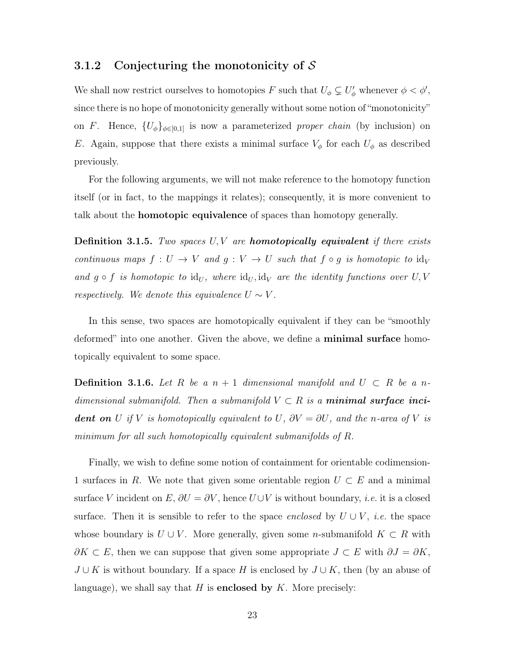#### <span id="page-23-0"></span>3.1.2 Conjecturing the monotonicity of *S*

We shall now restrict ourselves to homotopies *F* such that  $U_{\phi} \subsetneq U'_{\phi}$  whenever  $\phi < \phi'$ , since there is no hope of monotonicity generally without some notion of "monotonicity" on *F*. Hence,  ${U_{\phi}}_{\phi \in [0,1]}$  is now a parameterized *proper chain* (by inclusion) on *E*. Again, suppose that there exists a minimal surface  $V_{\phi}$  for each  $U_{\phi}$  as described previously.

For the following arguments, we will not make reference to the homotopy function itself (or in fact, to the mappings it relates); consequently, it is more convenient to talk about the homotopic equivalence of spaces than homotopy generally.

Definition 3.1.5. *Two spaces U, V are homotopically equivalent if there exists continuous maps*  $f: U \to V$  *and*  $g: V \to U$  *such that*  $f \circ g$  *is homotopic to*  $\mathrm{id}_V$ and  $g \circ f$  *is homotopic to*  $\mathrm{id}_U$ , where  $\mathrm{id}_U$ ,  $\mathrm{id}_V$  *are the identity functions over*  $U, V$ *respectively. We denote this equivalence*  $U \sim V$ .

In this sense, two spaces are homotopically equivalent if they can be "smoothly deformed" into one another. Given the above, we define a **minimal surface** homotopically equivalent to some space.

**Definition 3.1.6.** Let R be a  $n + 1$  dimensional manifold and  $U \subset R$  be a n*dimensional submanifold. Then a submanifold*  $V \subset R$  *is a minimal surface incident on U if V is homotopically equivalent to <i>U*,  $\partial V = \partial U$ *, and the n-area of V is minimum for all such homotopically equivalent submanifolds of R.*

Finally, we wish to define some notion of containment for orientable codimension-1 surfaces in R. We note that given some orientable region  $U \subset E$  and a minimal surface *V* incident on  $E$ ,  $\partial U = \partial V$ , hence  $U \cup V$  is without boundary, *i.e.* it is a closed surface. Then it is sensible to refer to the space *enclosed* by  $U \cup V$ , *i.e.* the space whose boundary is  $U \cup V$ . More generally, given some *n*-submanifold  $K \subset R$  with  $\partial K \subset E$ , then we can suppose that given some appropriate  $J \subset E$  with  $\partial J = \partial K$ ,  $J \cup K$  is without boundary. If a space *H* is enclosed by  $J \cup K$ , then (by an abuse of language), we shall say that  $H$  is **enclosed by**  $K$ . More precisely: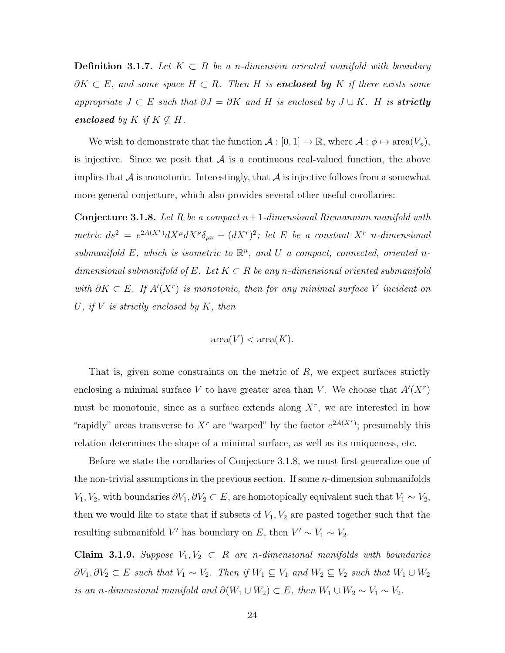**Definition 3.1.7.** Let  $K \subset R$  be a *n*-dimension oriented manifold with boundary  $\partial K \subset E$ , and some space  $H \subset R$ . Then  $H$  is **enclosed by**  $K$  if there exists some appropriate  $J \subset E$  *such that*  $\partial J = \partial K$  *and H is enclosed by*  $J \cup K$ *. H is strictly enclosed by*  $K$  *if*  $K \nsubseteq H$ *.* 

We wish to demonstrate that the function  $A : [0,1] \to \mathbb{R}$ , where  $A : \phi \mapsto \text{area}(V_{\phi})$ , is injective. Since we posit that  $A$  is a continuous real-valued function, the above implies that  $\mathcal A$  is monotonic. Interestingly, that  $\mathcal A$  is injective follows from a somewhat more general conjecture, which also provides several other useful corollaries:

<span id="page-24-0"></span>Conjecture 3.1.8. *Let R be a compact n*+1*-dimensional Riemannian manifold with*  $metric$   $ds^2 = e^{2A(X^r)}dX^{\mu}dX^{\nu}\delta_{\mu\nu} + (dX^r)^2$ ; let *E be a constant*  $X^r$  *n*-dimensional *submanifold*  $E$ *, which is isometric to*  $\mathbb{R}^n$ *, and*  $U$  *a compact, connected, oriented n* $dimensional submanifold of E. Let  $K \subset R$  be any n-dimensional oriented submanifold$ with  $\partial K \subset E$ . If  $A'(X^r)$  is monotonic, then for any minimal surface V incident on *U, if V is strictly enclosed by K, then*

$$
area(V) < area(K).
$$

That is, given some constraints on the metric of *R*, we expect surfaces strictly enclosing a minimal surface V to have greater area than V. We choose that  $A'(X<sup>r</sup>)$ must be monotonic, since as a surface extends along  $X<sup>r</sup>$ , we are interested in how "rapidly" areas transverse to  $X^r$  are "warped" by the factor  $e^{2A(X^r)}$ ; presumably this relation determines the shape of a minimal surface, as well as its uniqueness, etc.

Before we state the corollaries of Conjecture [3.1.8,](#page-24-0) we must first generalize one of the non-trivial assumptions in the previous section. If some *n*-dimension submanifolds  $V_1, V_2$ , with boundaries  $\partial V_1, \partial V_2 \subset E$ , are homotopically equivalent such that  $V_1 \sim V_2$ , then we would like to state that if subsets of  $V_1, V_2$  are pasted together such that the resulting submanifold *V'* has boundary on *E*, then  $V' \sim V_1 \sim V_2$ .

<span id="page-24-1"></span>**Claim 3.1.9.** *Suppose*  $V_1, V_2 \subset R$  *are n*-dimensional manifolds with boundaries  $\partial V_1, \partial V_2 \subset E$  such that  $V_1 \sim V_2$ . Then if  $W_1 \subseteq V_1$  and  $W_2 \subseteq V_2$  such that  $W_1 \cup W_2$ *is an n-dimensional manifold and*  $\partial(W_1 \cup W_2) \subset E$ , then  $W_1 \cup W_2 \sim V_1 \sim V_2$ .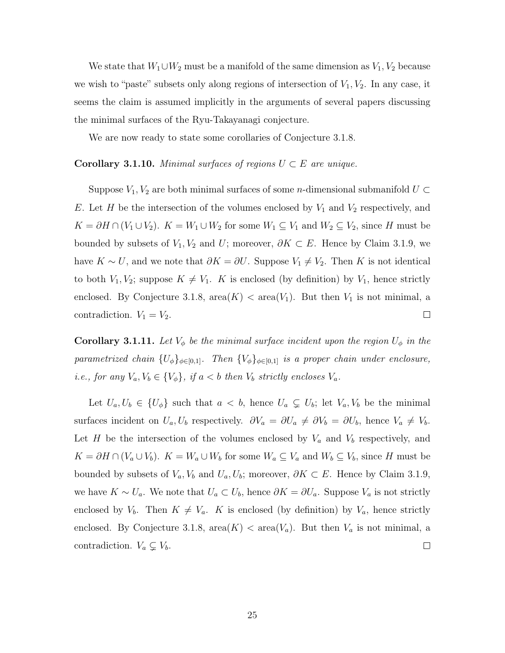We state that  $W_1 \cup W_2$  must be a manifold of the same dimension as  $V_1, V_2$  because we wish to "paste" subsets only along regions of intersection of *V*1*, V*2. In any case, it seems the claim is assumed implicitly in the arguments of several papers discussing the minimal surfaces of the Ryu-Takayanagi conjecture.

We are now ready to state some corollaries of Conjecture [3.1.8.](#page-24-0)

#### **Corollary 3.1.10.** *Minimal surfaces of regions*  $U \subset E$  *are unique.*

Suppose  $V_1, V_2$  are both minimal surfaces of some *n*-dimensional submanifold  $U \subset$ *E*. Let *H* be the intersection of the volumes enclosed by  $V_1$  and  $V_2$  respectively, and  $K = \partial H \cap (V_1 \cup V_2)$ .  $K = W_1 \cup W_2$  for some  $W_1 \subseteq V_1$  and  $W_2 \subseteq V_2$ , since *H* must be bounded by subsets of  $V_1, V_2$  and  $U$ ; moreover,  $\partial K \subset E$ . Hence by Claim [3.1.9,](#page-24-1) we have  $K \sim U$ , and we note that  $\partial K = \partial U$ . Suppose  $V_1 \neq V_2$ . Then *K* is not identical to both  $V_1, V_2$ ; suppose  $K \neq V_1$ . *K* is enclosed (by definition) by  $V_1$ , hence strictly enclosed. By Conjecture [3.1.8,](#page-24-0)  $area(K) < area(V_1)$ . But then  $V_1$  is not minimal, a  $\Box$ contradiction.  $V_1 = V_2$ .

Corollary 3.1.11. Let  $V_{\phi}$  be the minimal surface incident upon the region  $U_{\phi}$  in the *parametrized chain*  ${U_{\phi}}_{\phi \in [0,1]}$ *. Then*  ${V_{\phi}}_{\phi \in [0,1]}$  *is a proper chain under enclosure, i.e., for any*  $V_a, V_b \in \{V_\phi\}$ , if  $a < b$  then  $V_b$  strictly encloses  $V_a$ .

Let  $U_a, U_b \in \{U_\phi\}$  such that  $a < b$ , hence  $U_a \subsetneq U_b$ ; let  $V_a, V_b$  be the minimal surfaces incident on  $U_a$ ,  $U_b$  respectively.  $\partial V_a = \partial U_a \neq \partial V_b = \partial U_b$ , hence  $V_a \neq V_b$ . Let *H* be the intersection of the volumes enclosed by  $V_a$  and  $V_b$  respectively, and  $K = \partial H \cap (V_a \cup V_b)$ .  $K = W_a \cup W_b$  for some  $W_a \subseteq V_a$  and  $W_b \subseteq V_b$ , since *H* must be bounded by subsets of  $V_a$ ,  $V_b$  and  $U_a$ ,  $U_b$ ; moreover,  $\partial K \subset E$ . Hence by Claim [3.1.9,](#page-24-1) we have  $K \sim U_a$ . We note that  $U_a \subset U_b$ , hence  $\partial K = \partial U_a$ . Suppose  $V_a$  is not strictly enclosed by  $V_b$ . Then  $K \neq V_a$ . *K* is enclosed (by definition) by  $V_a$ , hence strictly enclosed. By Conjecture [3.1.8,](#page-24-0)  $area(K) < area(V_a)$ . But then  $V_a$  is not minimal, a contradiction.  $V_a \subsetneq V_b$ .  $\Box$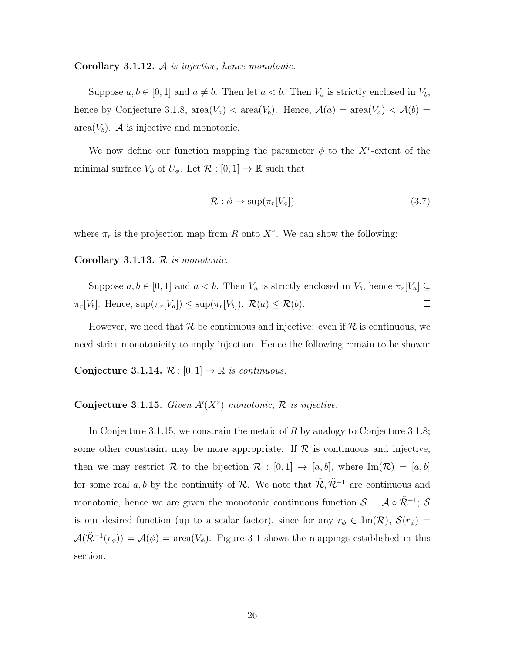<span id="page-26-1"></span>Corollary 3.1.12. *A is injective, hence monotonic.*

Suppose  $a, b \in [0, 1]$  and  $a \neq b$ . Then let  $a < b$ . Then  $V_a$  is strictly enclosed in  $V_b$ , hence by Conjecture [3.1.8,](#page-24-0)  $area(V_a) < area(V_b)$ . Hence,  $A(a) = area(V_a) < A(b)$ area $(V_b)$ . *A* is injective and monotonic.  $\Box$ 

We now define our function mapping the parameter  $\phi$  to the *X<sup>r</sup>*-extent of the minimal surface  $V_{\phi}$  of  $U_{\phi}$ . Let  $\mathcal{R} : [0,1] \to \mathbb{R}$  such that

$$
\mathcal{R} : \phi \mapsto \sup(\pi_r[V_\phi]) \tag{3.7}
$$

where  $\pi_r$  is the projection map from *R* onto  $X^r$ . We can show the following:

#### Corollary 3.1.13. *R is monotonic.*

Suppose  $a, b \in [0, 1]$  and  $a < b$ . Then  $V_a$  is strictly enclosed in  $V_b$ , hence  $\pi_r[V_a] \subseteq$  $\pi_r[V_b]$ . Hence,  $\sup(\pi_r[V_a]) \leq \sup(\pi_r[V_b])$ .  $\mathcal{R}(a) \leq \mathcal{R}(b)$ .  $\Box$ 

However, we need that  $\mathcal R$  be continuous and injective: even if  $\mathcal R$  is continuous, we need strict monotonicity to imply injection. Hence the following remain to be shown:

Conjecture 3.1.14.  $\mathcal{R} : [0,1] \rightarrow \mathbb{R}$  *is continuous.* 

### <span id="page-26-0"></span>**Conjecture 3.1.15.** Given  $A'(X^r)$  monotonic,  $\mathcal{R}$  is injective.

In Conjecture [3.1.15,](#page-26-0) we constrain the metric of *R* by analogy to Conjecture [3.1.8;](#page-24-0) some other constraint may be more appropriate. If  $R$  is continuous and injective, then we may restrict R to the bijection  $\mathcal{R} : [0,1] \to [a,b]$ , where Im(R) = [a, b] for some real *a, b* by the continuity of *R*. We note that  $\tilde{\mathcal{R}}, \tilde{\mathcal{R}}^{-1}$  are continuous and monotonic, hence we are given the monotonic continuous function  $S = A \circ \tilde{\mathcal{R}}^{-1}$ ; *S* is our desired function (up to a scalar factor), since for any  $r_{\phi} \in \text{Im}(\mathcal{R})$ ,  $\mathcal{S}(r_{\phi}) =$  $A(\mathcal{R}^{-1}(r_{\phi})) = A(\phi) = \text{area}(V_{\phi})$ . Figure [3-1](#page-27-1) shows the mappings established in this section.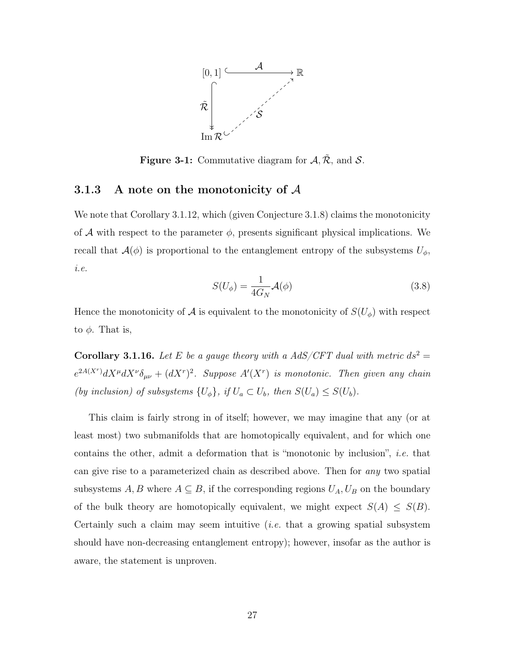

<span id="page-27-1"></span>Figure 3-1: Commutative diagram for  $A, \tilde{R}$ , and *S*.

#### <span id="page-27-0"></span>3.1.3 A note on the monotonicity of *A*

We note that Corollary [3.1.12,](#page-26-1) which (given Conjecture [3.1.8\)](#page-24-0) claims the monotonicity of A with respect to the parameter  $\phi$ , presents significant physical implications. We recall that  $\mathcal{A}(\phi)$  is proportional to the entanglement entropy of the subsystems  $U_{\phi}$ , *i.e.*

$$
S(U_{\phi}) = \frac{1}{4G_N} \mathcal{A}(\phi)
$$
\n(3.8)

Hence the monotonicity of  $A$  is equivalent to the monotonicity of  $S(U_{\phi})$  with respect to  $\phi$ . That is,

**Corollary 3.1.16.** Let E be a gauge theory with a AdS/CFT dual with metric  $ds^2 =$  $e^{2A(X^r)}dX^{\mu}dX^{\nu}\delta_{\mu\nu} + (dX^r)^2$ . Suppose  $A'(X^r)$  is monotonic. Then given any chain *(by inclusion) of subsystems*  $\{U_{\phi}\}$ *, if*  $U_a \subset U_b$ *, then*  $S(U_a) \leq S(U_b)$ *.* 

This claim is fairly strong in of itself; however, we may imagine that any (or at least most) two submanifolds that are homotopically equivalent, and for which one contains the other, admit a deformation that is "monotonic by inclusion", *i.e.* that can give rise to a parameterized chain as described above. Then for *any* two spatial subsystems  $A, B$  where  $A \subseteq B$ , if the corresponding regions  $U_A, U_B$  on the boundary of the bulk theory are homotopically equivalent, we might expect  $S(A) \leq S(B)$ . Certainly such a claim may seem intuitive (*i.e.* that a growing spatial subsystem should have non-decreasing entanglement entropy); however, insofar as the author is aware, the statement is unproven.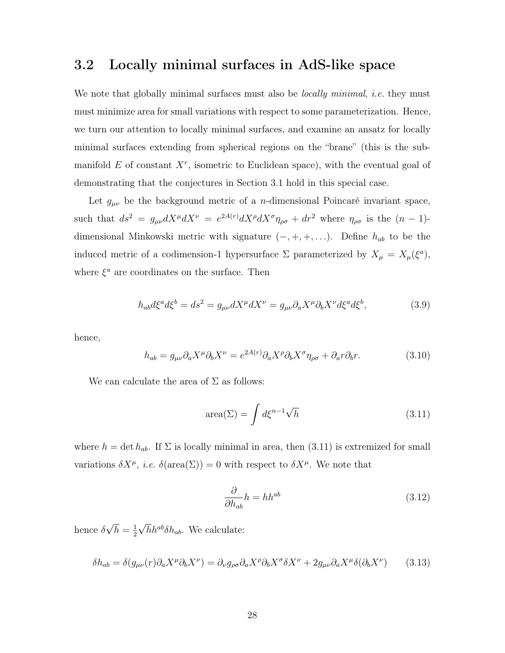### <span id="page-28-0"></span>3.2 Locally minimal surfaces in AdS-like space

We note that globally minimal surfaces must also be *locally minimal*, *i.e.* they must must minimize area for small variations with respect to some parameterization. Hence, we turn our attention to locally minimal surfaces, and examine an ansatz for locally minimal surfaces extending from spherical regions on the "brane" (this is the submanifold  $E$  of constant  $X^r$ , isometric to Euclidean space), with the eventual goal of demonstrating that the conjectures in Section [3.1](#page-19-0) hold in this special case.

Let  $g_{\mu\nu}$  be the background metric of a *n*-dimensional Poincaré invariant space, such that  $ds^2 = g_{\mu\nu} dX^{\mu} dX^{\nu} = e^{2A(r)} dX^{\rho} dX^{\sigma} \eta_{\rho\sigma} + dr^2$  where  $\eta_{\rho\sigma}$  is the  $(n-1)$ dimensional Minkowski metric with signature  $(-, +, +, \ldots)$ . Define  $h_{ab}$  to be the induced metric of a codimension-1 hypersurface  $\Sigma$  parameterized by  $X_{\mu} = X_{\mu}(\xi^a)$ , where  $\xi^a$  are coordinates on the surface. Then

$$
h_{ab}d\xi^a d\xi^b = ds^2 = g_{\mu\nu}dX^{\mu}dX^{\nu} = g_{\mu\nu}\partial_a X^{\mu}\partial_b X^{\nu}d\xi^a d\xi^b,
$$
\n(3.9)

hence,

$$
h_{ab} = g_{\mu\nu}\partial_a X^\mu \partial_b X^\nu = e^{2A(r)} \partial_a X^\rho \partial_b X^\sigma \eta_{\rho\sigma} + \partial_a r \partial_b r. \tag{3.10}
$$

We can calculate the area of  $\Sigma$  as follows:

<span id="page-28-1"></span>
$$
\text{area}(\Sigma) = \int d\xi^{n-1} \sqrt{h} \tag{3.11}
$$

where  $h = \det h_{ab}$ . If  $\Sigma$  is locally minimal in area, then [\(3.11\)](#page-28-1) is extremized for small variations  $\delta X^{\mu}$ , *i.e.*  $\delta(\text{area}(\Sigma)) = 0$  with respect to  $\delta X^{\mu}$ . We note that

$$
\frac{\partial}{\partial h_{ab}}h = hh^{ab} \tag{3.12}
$$

hence  $\delta\sqrt{h} = \frac{1}{2}$  $\sqrt{h}h^{ab}\delta h_{ab}$ . We calculate:

$$
\delta h_{ab} = \delta(g_{\mu\nu}(r)\partial_a X^\mu \partial_b X^\nu) = \partial_\nu g_{\rho\sigma} \partial_a X^\rho \partial_b X^\sigma \delta X^\nu + 2g_{\mu\nu} \partial_a X^\mu \delta(\partial_b X^\nu) \tag{3.13}
$$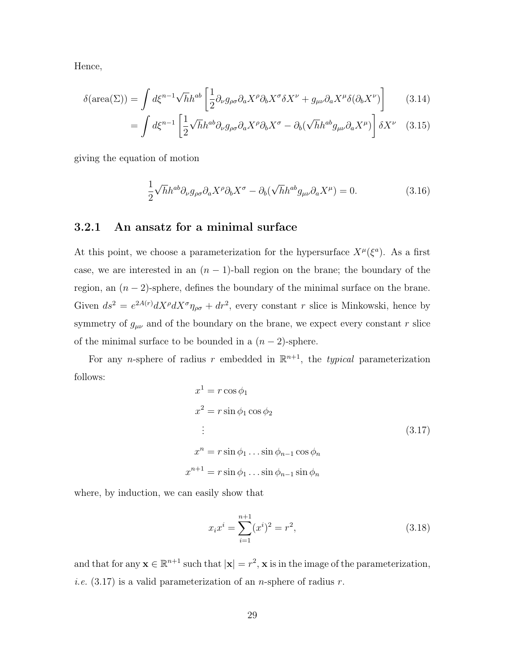Hence,

$$
\delta(\text{area}(\Sigma)) = \int d\xi^{n-1} \sqrt{h} h^{ab} \left[ \frac{1}{2} \partial_{\nu} g_{\rho \sigma} \partial_{a} X^{\rho} \partial_{b} X^{\sigma} \delta X^{\nu} + g_{\mu \nu} \partial_{a} X^{\mu} \delta (\partial_{b} X^{\nu}) \right] \tag{3.14}
$$

$$
= \int d\xi^{n-1} \left[ \frac{1}{2} \sqrt{h} h^{ab} \partial_{\nu} g_{\rho \sigma} \partial_a X^{\rho} \partial_b X^{\sigma} - \partial_b (\sqrt{h} h^{ab} g_{\mu \nu} \partial_a X^{\mu}) \right] \delta X^{\nu} \quad (3.15)
$$

giving the equation of motion

<span id="page-29-2"></span>
$$
\frac{1}{2}\sqrt{h}h^{ab}\partial_{\nu}g_{\rho\sigma}\partial_{a}X^{\rho}\partial_{b}X^{\sigma} - \partial_{b}(\sqrt{h}h^{ab}g_{\mu\nu}\partial_{a}X^{\mu}) = 0.
$$
\n(3.16)

### <span id="page-29-0"></span>3.2.1 An ansatz for a minimal surface

At this point, we choose a parameterization for the hypersurface  $X^{\mu}(\xi^a)$ . As a first case, we are interested in an  $(n-1)$ -ball region on the brane; the boundary of the region, an  $(n-2)$ -sphere, defines the boundary of the minimal surface on the brane. Given  $ds^2 = e^{2A(r)} dX^{\rho} dX^{\sigma} \eta_{\rho\sigma} + dr^2$ , every constant *r* slice is Minkowski, hence by symmetry of  $g_{\mu\nu}$  and of the boundary on the brane, we expect every constant *r* slice of the minimal surface to be bounded in a  $(n-2)$ -sphere.

For any *n*-sphere of radius *r* embedded in  $\mathbb{R}^{n+1}$ , the *typical* parameterization follows:

<span id="page-29-1"></span>
$$
x^{1} = r \cos \phi_{1}
$$
  
\n
$$
x^{2} = r \sin \phi_{1} \cos \phi_{2}
$$
  
\n
$$
\vdots
$$
  
\n
$$
x^{n} = r \sin \phi_{1} \dots \sin \phi_{n-1} \cos \phi_{n}
$$
  
\n
$$
x^{n+1} = r \sin \phi_{1} \dots \sin \phi_{n-1} \sin \phi_{n}
$$
  
\n(3.17)

where, by induction, we can easily show that

$$
x_i x^i = \sum_{i=1}^{n+1} (x^i)^2 = r^2,
$$
\n(3.18)

and that for any  $\mathbf{x} \in \mathbb{R}^{n+1}$  such that  $|\mathbf{x}| = r^2$ ,  $\mathbf{x}$  is in the image of the parameterization, *i.e.* [\(3.17\)](#page-29-1) is a valid parameterization of an *n*-sphere of radius *r*.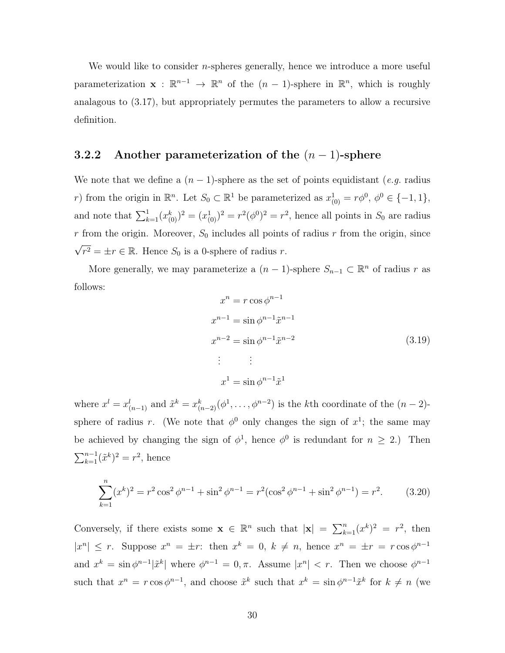We would like to consider *n*-spheres generally, hence we introduce a more useful parameterization  $\mathbf{x} : \mathbb{R}^{n-1} \to \mathbb{R}^n$  of the  $(n-1)$ -sphere in  $\mathbb{R}^n$ , which is roughly analagous to [\(3.17\)](#page-29-1), but appropriately permutes the parameters to allow a recursive definition.

### <span id="page-30-0"></span>3.2.2 Another parameterization of the  $(n-1)$ -sphere

We note that we define a  $(n-1)$ -sphere as the set of points equidistant (*e.g.* radius *r*) from the origin in  $\mathbb{R}^n$ . Let  $S_0 \subset \mathbb{R}^1$  be parameterized as  $x_{(0)}^1 = r\phi^0$ ,  $\phi^0 \in \{-1, 1\}$ , and note that  $\sum_{k=1}^{1} (x_{(0)}^k)^2 = (x_{(0)}^1)^2 = r^2(\phi^0)^2 = r^2$ , hence all points in *S*<sub>0</sub> are radius  $r$  from the origin. Moreover,  $S_0$  includes all points of radius  $r$  from the origin, since  $\sqrt{r^2} = \pm r \in \mathbb{R}$ . Hence  $S_0$  is a 0-sphere of radius *r*.

More generally, we may parameterize a  $(n-1)$ -sphere  $S_{n-1} \subset \mathbb{R}^n$  of radius r as follows:

<span id="page-30-1"></span>
$$
x^{n} = r \cos \phi^{n-1}
$$
  
\n
$$
x^{n-1} = \sin \phi^{n-1} \tilde{x}^{n-1}
$$
  
\n
$$
x^{n-2} = \sin \phi^{n-1} \tilde{x}^{n-2}
$$
  
\n
$$
\vdots \qquad \vdots
$$
  
\n
$$
x^{1} = \sin \phi^{n-1} \tilde{x}^{1}
$$
\n(3.19)

where  $x^l = x^l_{(n-1)}$  and  $\tilde{x}^k = x^k_{(n-2)}(\phi^1, \ldots, \phi^{n-2})$  is the *k*th coordinate of the  $(n-2)$ sphere of radius *r*. (We note that  $\phi^0$  only changes the sign of  $x^1$ ; the same may be achieved by changing the sign of  $\phi^1$ , hence  $\phi^0$  is redundant for  $n \geq 2$ .) Then  $\sum_{k=1}^{n-1} (\tilde{x}^k)^2 = r^2$ , hence

$$
\sum_{k=1}^{n} (x^{k})^{2} = r^{2} \cos^{2} \phi^{n-1} + \sin^{2} \phi^{n-1} = r^{2} (\cos^{2} \phi^{n-1} + \sin^{2} \phi^{n-1}) = r^{2}.
$$
 (3.20)

Conversely, if there exists some  $\mathbf{x} \in \mathbb{R}^n$  such that  $|\mathbf{x}| = \sum_{k=1}^n (x^k)^2 = r^2$ , then  $|x^n| \leq r$ . Suppose  $x^n = \pm r$ : then  $x^k = 0$ ,  $k \neq n$ , hence  $x^n = \pm r = r \cos \phi^{n-1}$ and  $x^k = \sin \phi^{n-1} |\tilde{x}^k|$  where  $\phi^{n-1} = 0, \pi$ . Assume  $|x^n| < r$ . Then we choose  $\phi^{n-1}$ such that  $x^n = r \cos \phi^{n-1}$ , and choose  $\tilde{x}^k$  such that  $x^k = \sin \phi^{n-1} \tilde{x}^k$  for  $k \neq n$  (we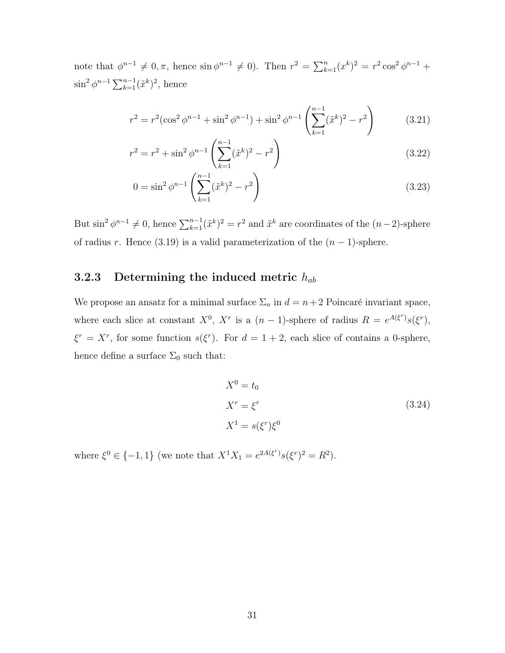note that  $\phi^{n-1} \neq 0, \pi$ , hence  $\sin \phi^{n-1} \neq 0$ . Then  $r^2 = \sum_{k=1}^n (x^k)^2 = r^2 \cos^2 \phi^{n-1} +$  $\sin^2 \phi^{n-1} \sum_{k=1}^{n-1} (\tilde{x}^k)^2$ , hence

$$
r^{2} = r^{2}(\cos^{2}\phi^{n-1} + \sin^{2}\phi^{n-1}) + \sin^{2}\phi^{n-1}\left(\sum_{k=1}^{n-1}(\tilde{x}^{k})^{2} - r^{2}\right)
$$
(3.21)

$$
r^{2} = r^{2} + \sin^{2} \phi^{n-1} \left( \sum_{k=1}^{n-1} (\tilde{x}^{k})^{2} - r^{2} \right)
$$
 (3.22)

$$
0 = \sin^2 \phi^{n-1} \left( \sum_{k=1}^{n-1} (\tilde{x}^k)^2 - r^2 \right)
$$
 (3.23)

But  $\sin^2 \phi^{n-1} \neq 0$ , hence  $\sum_{k=1}^{n-1} (\tilde{x}^k)^2 = r^2$  and  $\tilde{x}^k$  are coordinates of the  $(n-2)$ -sphere of radius *r*. Hence [\(3.19\)](#page-30-1) is a valid parameterization of the  $(n-1)$ -sphere.

### <span id="page-31-0"></span>3.2.3 Determining the induced metric *hab*

We propose an ansatz for a minimal surface  $\Sigma_n$  in  $d = n + 2$  Poincaré invariant space, where each slice at constant  $X^0$ ,  $X^r$  is a  $(n-1)$ -sphere of radius  $R = e^{A(\xi^r)}s(\xi^r)$ ,  $\xi^r = X^r$ , for some function  $s(\xi^r)$ . For  $d = 1 + 2$ , each slice of contains a 0-sphere, hence define a surface  $\Sigma_0$  such that:

$$
X^{0} = t_{0}
$$
  
\n
$$
X^{r} = \xi^{r}
$$
  
\n
$$
X^{1} = s(\xi^{r})\xi^{0}
$$
\n(3.24)

where  $\xi^0 \in \{-1, 1\}$  (we note that  $X^1 X_1 = e^{2A(\xi^r)} s(\xi^r)^2 = R^2$ ).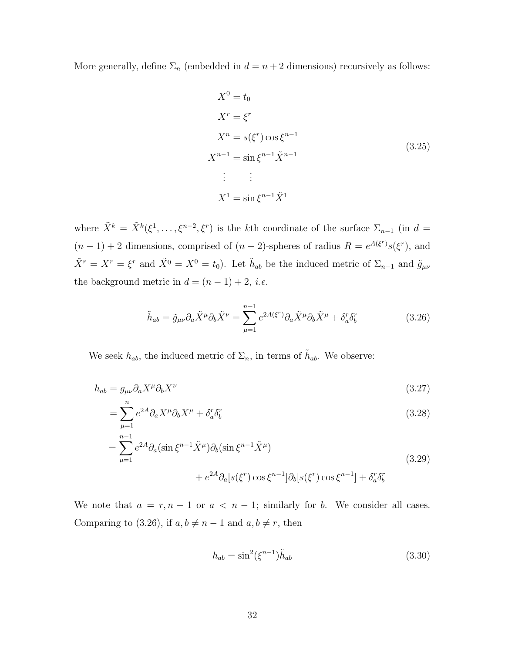More generally, define  $\Sigma_n$  (embedded in  $d = n + 2$  dimensions) recursively as follows:

<span id="page-32-1"></span>
$$
X^{0} = t_{0}
$$
  
\n
$$
X^{r} = \xi^{r}
$$
  
\n
$$
X^{n} = s(\xi^{r}) \cos \xi^{n-1}
$$
  
\n
$$
X^{n-1} = \sin \xi^{n-1} \tilde{X}^{n-1}
$$
  
\n
$$
\vdots \qquad \vdots
$$
  
\n
$$
X^{1} = \sin \xi^{n-1} \tilde{X}^{1}
$$
  
\n(3.25)

where  $\tilde{X}^k = \tilde{X}^k(\xi^1,\ldots,\xi^{n-2},\xi^r)$  is the *k*th coordinate of the surface  $\Sigma_{n-1}$  (in  $d =$  $(n-1) + 2$  dimensions, comprised of  $(n-2)$ -spheres of radius  $R = e^{A(\xi^r)}s(\xi^r)$ , and  $\tilde{X}^r = X^r = \xi^r$  and  $\tilde{X}^0 = X^0 = t_0$ . Let  $\tilde{h}_{ab}$  be the induced metric of  $\Sigma_{n-1}$  and  $\tilde{g}_{\mu\nu}$ the background metric in  $d = (n - 1) + 2$ , *i.e.* 

<span id="page-32-0"></span>
$$
\tilde{h}_{ab} = \tilde{g}_{\mu\nu} \partial_a \tilde{X}^\mu \partial_b \tilde{X}^\nu = \sum_{\mu=1}^{n-1} e^{2A(\xi^r)} \partial_a \tilde{X}^\mu \partial_b \tilde{X}^\mu + \delta_a^r \delta_b^r \tag{3.26}
$$

We seek  $h_{ab}$ , the induced metric of  $\Sigma_n$ , in terms of  $\tilde{h}_{ab}$ . We observe:

$$
h_{ab} = g_{\mu\nu} \partial_a X^\mu \partial_b X^\nu \tag{3.27}
$$

$$
=\sum_{\mu=1}^{n} e^{2A} \partial_a X^{\mu} \partial_b X^{\mu} + \delta_a^r \delta_b^r
$$
\n(3.28)

$$
= \sum_{\mu=1}^{n-1} e^{2A} \partial_a (\sin \xi^{n-1} \tilde{X}^\mu) \partial_b (\sin \xi^{n-1} \tilde{X}^\mu)
$$
  
+ 
$$
e^{2A} \partial_a [s(\xi^r) \cos \xi^{n-1}] \partial_b [s(\xi^r) \cos \xi^{n-1}] + \delta_a^r \delta_b^r
$$
(3.29)

We note that  $a = r, n - 1$  or  $a < n - 1$ ; similarly for *b*. We consider all cases. Comparing to [\(3.26\)](#page-32-0), if  $a, b \neq n-1$  and  $a, b \neq r$ , then

$$
h_{ab} = \sin^2(\xi^{n-1})\tilde{h}_{ab} \tag{3.30}
$$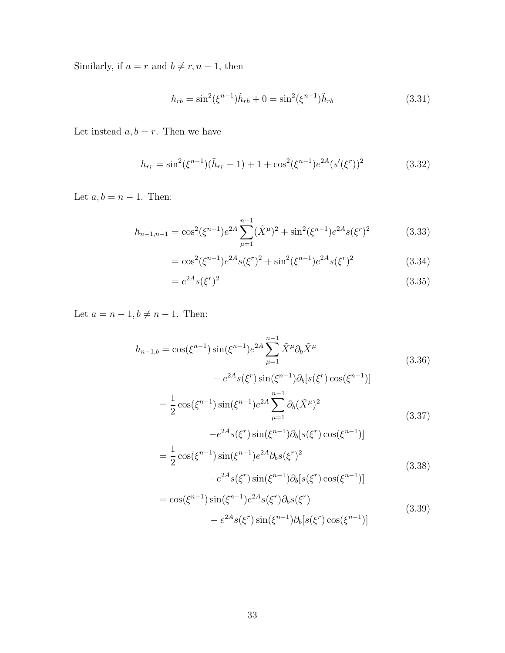Similarly, if  $a = r$  and  $b \neq r, n - 1$ , then

$$
h_{rb} = \sin^2(\xi^{n-1})\tilde{h}_{rb} + 0 = \sin^2(\xi^{n-1})\tilde{h}_{rb}
$$
\n(3.31)

Let instead  $a, b = r$ . Then we have

$$
h_{rr} = \sin^2(\xi^{n-1})(\tilde{h}_{rr} - 1) + 1 + \cos^2(\xi^{n-1})e^{2A}(s'(\xi^r))^2
$$
 (3.32)

Let  $a, b = n - 1$ . Then:

$$
h_{n-1,n-1} = \cos^2(\xi^{n-1})e^{2A} \sum_{\mu=1}^{n-1} (\tilde{X}^{\mu})^2 + \sin^2(\xi^{n-1})e^{2A} s(\xi^r)^2 \tag{3.33}
$$

$$
= \cos^{2}(\xi^{n-1})e^{2A}s(\xi^{r})^{2} + \sin^{2}(\xi^{n-1})e^{2A}s(\xi^{r})^{2}
$$
\n(3.34)

$$
=e^{2A}s(\xi^r)^2\tag{3.35}
$$

Let  $a = n - 1, b \neq n - 1$ . Then:

$$
h_{n-1,b} = \cos(\xi^{n-1})\sin(\xi^{n-1})e^{2A} \sum_{\mu=1}^{n-1} \tilde{X}^{\mu}\partial_{b}\tilde{X}^{\mu}
$$
\n
$$
-e^{2A}s(\xi^{r})\sin(\xi^{n-1})\partial_{b}[s(\xi^{r})\cos(\xi^{n-1})]
$$
\n
$$
= \frac{1}{2}\cos(\xi^{n-1})\sin(\xi^{n-1})e^{2A} \sum_{\mu=1}^{n-1} \partial_{b}(\tilde{X}^{\mu})^{2}
$$
\n
$$
-e^{2A}s(\xi^{r})\sin(\xi^{n-1})\partial_{b}[s(\xi^{r})\cos(\xi^{n-1})]
$$
\n
$$
= \frac{1}{2}\cos(\xi^{n-1})\sin(\xi^{n-1})e^{2A}\partial_{b}s(\xi^{r})^{2}
$$
\n
$$
-e^{2A}s(\xi^{r})\sin(\xi^{n-1})\partial_{b}[s(\xi^{r})\cos(\xi^{n-1})]
$$
\n
$$
= \cos(\xi^{n-1})\sin(\xi^{n-1})e^{2A}s(\xi^{r})\partial_{b}s(\xi^{r})
$$
\n(3.39)

 $-e^{2A} s(\xi^r) \sin(\xi^{n-1}) \partial_b[s(\xi^r) \cos(\xi^{n-1})]$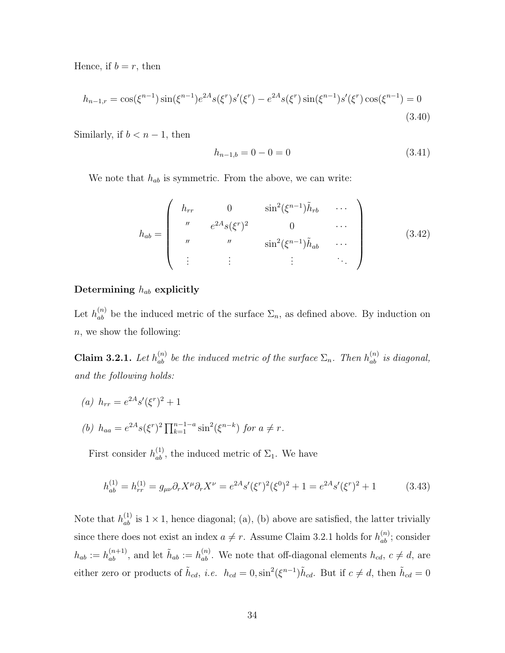Hence, if  $b = r$ , then

$$
h_{n-1,r} = \cos(\xi^{n-1})\sin(\xi^{n-1})e^{2A}s(\xi^r)s'(\xi^r) - e^{2A}s(\xi^r)\sin(\xi^{n-1})s'(\xi^r)\cos(\xi^{n-1}) = 0
$$
\n(3.40)

Similarly, if  $b < n - 1$ , then

$$
h_{n-1,b} = 0 - 0 = 0 \tag{3.41}
$$

We note that *hab* is symmetric. From the above, we can write:

$$
h_{ab} = \begin{pmatrix} h_{rr} & 0 & \sin^2(\xi^{n-1})\tilde{h}_{rb} & \cdots \\ u & e^{2A}s(\xi^r)^2 & 0 & \cdots \\ u & u & \sin^2(\xi^{n-1})\tilde{h}_{ab} & \cdots \\ \vdots & \vdots & \vdots & \ddots \end{pmatrix}
$$
 (3.42)

#### Determining *hab* explicitly

Let  $h_{ab}^{(n)}$  be the induced metric of the surface  $\Sigma_n$ , as defined above. By induction on *n*, we show the following:

<span id="page-34-0"></span>**Claim 3.2.1.** Let  $h_{ab}^{(n)}$  be the induced metric of the surface  $\Sigma_n$ . Then  $h_{ab}^{(n)}$  is diagonal, *and the following holds:*

(a) 
$$
h_{rr} = e^{2A} s'(\xi^r)^2 + 1
$$

(b) 
$$
h_{aa} = e^{2A} s(\xi^r)^2 \prod_{k=1}^{n-1-a} \sin^2(\xi^{n-k})
$$
 for  $a \neq r$ .

First consider  $h_{ab}^{(1)}$ , the induced metric of  $\Sigma_1$ . We have

$$
h_{ab}^{(1)} = h_{rr}^{(1)} = g_{\mu\nu}\partial_r X^\mu \partial_r X^\nu = e^{2A} s'(\xi^r)^2 (\xi^0)^2 + 1 = e^{2A} s'(\xi^r)^2 + 1 \tag{3.43}
$$

Note that  $h_{ab}^{(1)}$  is  $1 \times 1$ , hence diagonal; (a), (b) above are satisfied, the latter trivially since there does not exist an index  $a \neq r$ . Assume Claim [3.2.1](#page-34-0) holds for  $h_{ab}^{(n)}$ ; consider  $h_{ab} := h_{ab}^{(n+1)}$ , and let  $\tilde{h}_{ab} := h_{ab}^{(n)}$ . We note that off-diagonal elements  $h_{cd}$ ,  $c \neq d$ , are either zero or products of  $\tilde{h}_{cd}$ , *i.e.*  $h_{cd} = 0$ ,  $\sin^2(\xi^{n-1})\tilde{h}_{cd}$ . But if  $c \neq d$ , then  $\tilde{h}_{cd} = 0$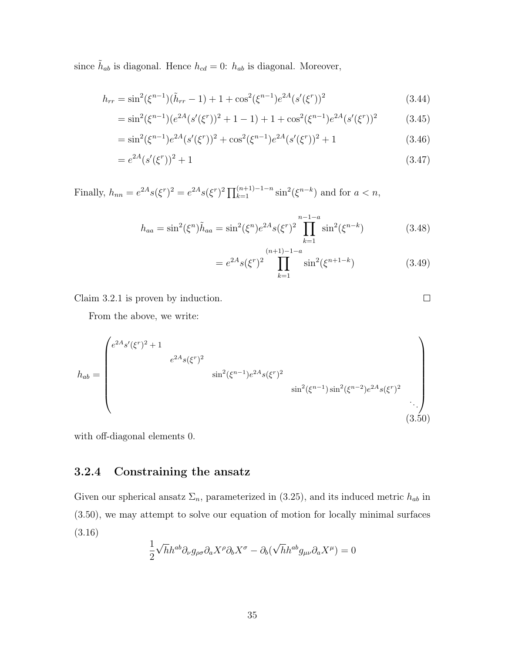since  $h_{ab}$  is diagonal. Hence  $h_{cd} = 0$ :  $h_{ab}$  is diagonal. Moreover,

$$
h_{rr} = \sin^2(\xi^{n-1})(\tilde{h}_{rr} - 1) + 1 + \cos^2(\xi^{n-1})e^{2A}(s'(\xi^r))^2
$$
\n(3.44)

$$
= \sin^2(\xi^{n-1})(e^{2A}(s'(\xi^r))^2 + 1 - 1) + 1 + \cos^2(\xi^{n-1})e^{2A}(s'(\xi^r))^2 \tag{3.45}
$$

$$
= \sin^2(\xi^{n-1})e^{2A}(s'(\xi^r))^2 + \cos^2(\xi^{n-1})e^{2A}(s'(\xi^r))^2 + 1
$$
\n(3.46)

$$
=e^{2A}(s'(\xi^r))^2+1
$$
\n(3.47)

Finally,  $h_{nn} = e^{2A} s(\xi^r)^2 = e^{2A} s(\xi^r)^2 \prod_{k=1}^{(n+1)-1-n} \sin^2(\xi^{n-k})$  and for  $a < n$ ,

$$
h_{aa} = \sin^2(\xi^n)\tilde{h}_{aa} = \sin^2(\xi^n)e^{2A}s(\xi^r)^2\prod_{k=1}^{n-1-a}\sin^2(\xi^{n-k})
$$
 (3.48)

$$
= e^{2A} s(\xi^r)^2 \prod_{k=1}^{(n+1)-1-a} \sin^2(\xi^{n+1-k})
$$
 (3.49)

Claim [3.2.1](#page-34-0) is proven by induction.

From the above, we write:

<span id="page-35-1"></span>
$$
h_{ab} = \begin{pmatrix} e^{2A}s'(\xi^r)^2 + 1 & & & & \\ & e^{2A}s(\xi^r)^2 & & & \\ & & \sin^2(\xi^{n-1})e^{2A}s(\xi^r)^2 & \\ & & & \sin^2(\xi^{n-1})\sin^2(\xi^{n-2})e^{2A}s(\xi^r)^2 & \\ & & & & \ddots \\ & & & & & (3.50)
$$

with off-diagonal elements 0.

### <span id="page-35-0"></span>3.2.4 Constraining the ansatz

Given our spherical ansatz  $\Sigma_n$ , parameterized in [\(3.25\)](#page-32-1), and its induced metric  $h_{ab}$  in [\(3.50\)](#page-35-1), we may attempt to solve our equation of motion for locally minimal surfaces [\(3.16\)](#page-29-2)

$$
\frac{1}{2}\sqrt{h}h^{ab}\partial_{\nu}g_{\rho\sigma}\partial_{a}X^{\rho}\partial_{b}X^{\sigma}-\partial_{b}(\sqrt{h}h^{ab}g_{\mu\nu}\partial_{a}X^{\mu})=0
$$

 $\Box$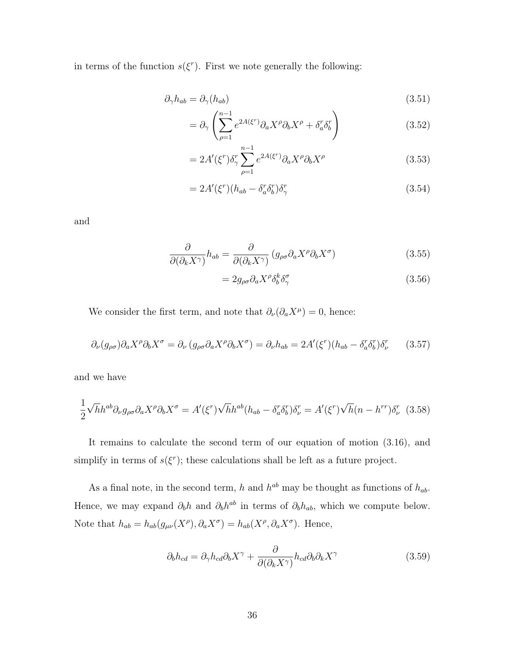in terms of the function  $s(\xi^r)$ . First we note generally the following:

$$
\partial_{\gamma} h_{ab} = \partial_{\gamma} (h_{ab}) \tag{3.51}
$$

$$
= \partial_{\gamma} \left( \sum_{\rho=1}^{n-1} e^{2A(\xi^r)} \partial_a X^{\rho} \partial_b X^{\rho} + \delta_a^r \delta_b^r \right) \tag{3.52}
$$

$$
=2A'(\xi^r)\delta_\gamma^r\sum_{\rho=1}^{n-1}e^{2A(\xi^r)}\partial_aX^\rho\partial_bX^\rho\tag{3.53}
$$

$$
=2A'(\xi^r)(h_{ab}-\delta^r_a\delta^r_b)\delta^r_\gamma\tag{3.54}
$$

and

$$
\frac{\partial}{\partial(\partial_k X^{\gamma})} h_{ab} = \frac{\partial}{\partial(\partial_k X^{\gamma})} \left( g_{\rho\sigma} \partial_a X^{\rho} \partial_b X^{\sigma} \right) \tag{3.55}
$$

$$
=2g_{\rho\sigma}\partial_a X^\rho \delta_b^k \delta_\gamma^\sigma\tag{3.56}
$$

We consider the first term, and note that  $\partial_{\nu}(\partial_{a}X^{\mu})=0$ , hence:

$$
\partial_{\nu}(g_{\rho\sigma})\partial_{a}X^{\rho}\partial_{b}X^{\sigma} = \partial_{\nu}(g_{\rho\sigma}\partial_{a}X^{\rho}\partial_{b}X^{\sigma}) = \partial_{\nu}h_{ab} = 2A'(\xi^{r})(h_{ab} - \delta_{a}^{r}\delta_{b}^{r})\delta_{\nu}^{r}
$$
(3.57)

and we have

$$
\frac{1}{2}\sqrt{h}h^{ab}\partial_{\nu}g_{\rho\sigma}\partial_{a}X^{\rho}\partial_{b}X^{\sigma} = A'(\xi^{r})\sqrt{h}h^{ab}(h_{ab} - \delta_{a}^{r}\delta_{b}^{r})\delta_{\nu}^{r} = A'(\xi^{r})\sqrt{h}(n - h^{rr})\delta_{\nu}^{r}
$$
(3.58)

It remains to calculate the second term of our equation of motion [\(3.16\)](#page-29-2), and simplify in terms of  $s(\xi^r)$ ; these calculations shall be left as a future project.

As a final note, in the second term, *h* and  $h^{ab}$  may be thought as functions of  $h_{ab}$ . Hence, we may expand  $\partial_b h$  and  $\partial_b h^{ab}$  in terms of  $\partial_b h_{ab}$ , which we compute below. Note that  $h_{ab} = h_{ab}(g_{\mu\nu}(X^{\rho}), \partial_a X^{\sigma}) = h_{ab}(X^{\rho}, \partial_a X^{\sigma})$ . Hence,

$$
\partial_b h_{cd} = \partial_\gamma h_{cd} \partial_b X^\gamma + \frac{\partial}{\partial (\partial_k X^\gamma)} h_{cd} \partial_b \partial_k X^\gamma \tag{3.59}
$$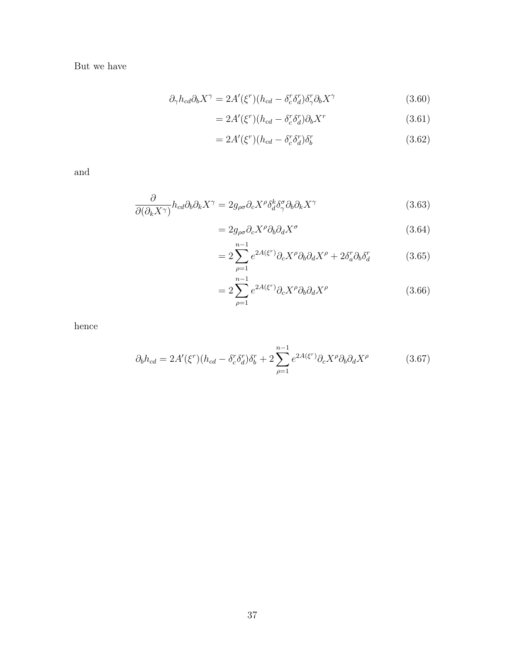But we have

$$
\partial_{\gamma} h_{cd} \partial_b X^{\gamma} = 2A'(\xi^r)(h_{cd} - \delta^r_c \delta^r_d) \delta^r_{\gamma} \partial_b X^{\gamma}
$$
\n(3.60)

$$
=2A'(\xi^r)(h_{cd}-\delta^r_c\delta^r_d)\partial_b X^r\tag{3.61}
$$

$$
=2A'(\xi^r)(h_{cd}-\delta^r_c\delta^r_d)\delta^r_b\tag{3.62}
$$

and

$$
\frac{\partial}{\partial(\partial_k X^\gamma)} h_{cd} \partial_b \partial_k X^\gamma = 2g_{\rho\sigma} \partial_c X^\rho \delta_d^k \delta_\gamma^\sigma \partial_b \partial_k X^\gamma \tag{3.63}
$$

$$
=2g_{\rho\sigma}\partial_cX^{\rho}\partial_b\partial_dX^{\sigma}
$$
\n(3.64)

$$
=2\sum_{\rho=1}^{n-1}e^{2A(\xi^r)}\partial_cX^\rho\partial_b\partial_dX^\rho+2\delta_a^r\partial_b\delta_d^r\qquad(3.65)
$$

$$
=2\sum_{\rho=1}^{n-1}e^{2A(\xi^r)}\partial_cX^\rho\partial_b\partial_dX^\rho\tag{3.66}
$$

hence

$$
\partial_b h_{cd} = 2A'(\xi^r)(h_{cd} - \delta^r_c \delta^r_d)\delta^r_b + 2\sum_{\rho=1}^{n-1} e^{2A(\xi^r)} \partial_c X^\rho \partial_b \partial_d X^\rho \tag{3.67}
$$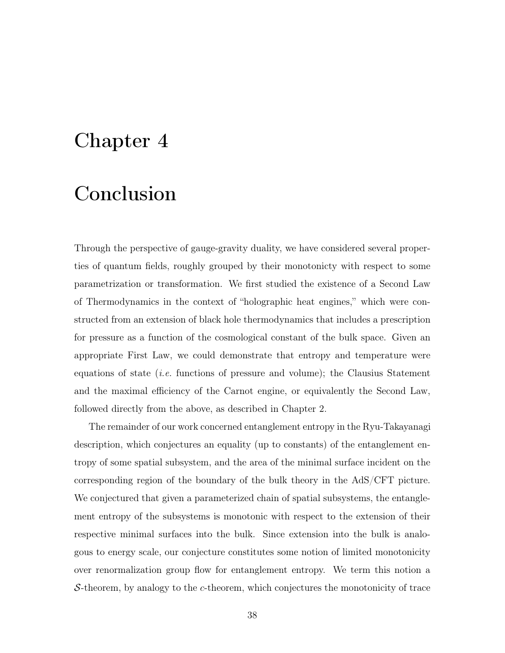# <span id="page-38-0"></span>Chapter 4

# Conclusion

Through the perspective of gauge-gravity duality, we have considered several properties of quantum fields, roughly grouped by their monotonicty with respect to some parametrization or transformation. We first studied the existence of a Second Law of Thermodynamics in the context of "holographic heat engines," which were constructed from an extension of black hole thermodynamics that includes a prescription for pressure as a function of the cosmological constant of the bulk space. Given an appropriate First Law, we could demonstrate that entropy and temperature were equations of state (*i.e.* functions of pressure and volume); the Clausius Statement and the maximal efficiency of the Carnot engine, or equivalently the Second Law, followed directly from the above, as described in Chapter [2.](#page-14-0)

The remainder of our work concerned entanglement entropy in the Ryu-Takayanagi description, which conjectures an equality (up to constants) of the entanglement entropy of some spatial subsystem, and the area of the minimal surface incident on the corresponding region of the boundary of the bulk theory in the AdS/CFT picture. We conjectured that given a parameterized chain of spatial subsystems, the entanglement entropy of the subsystems is monotonic with respect to the extension of their respective minimal surfaces into the bulk. Since extension into the bulk is analogous to energy scale, our conjecture constitutes some notion of limited monotonicity over renormalization group flow for entanglement entropy. We term this notion a *S*-theorem, by analogy to the *c*-theorem, which conjectures the monotonicity of trace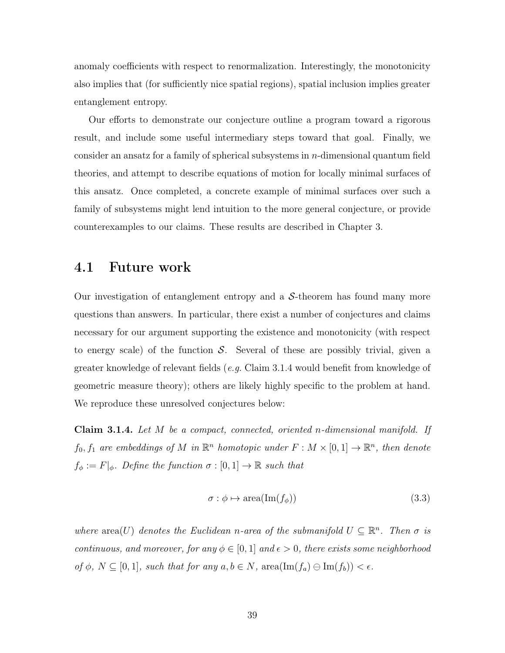anomaly coefficients with respect to renormalization. Interestingly, the monotonicity also implies that (for sufficiently nice spatial regions), spatial inclusion implies greater entanglement entropy.

Our efforts to demonstrate our conjecture outline a program toward a rigorous result, and include some useful intermediary steps toward that goal. Finally, we consider an ansatz for a family of spherical subsystems in *n*-dimensional quantum field theories, and attempt to describe equations of motion for locally minimal surfaces of this ansatz. Once completed, a concrete example of minimal surfaces over such a family of subsystems might lend intuition to the more general conjecture, or provide counterexamples to our claims. These results are described in Chapter [3.](#page-18-0)

### <span id="page-39-0"></span>4.1 Future work

Our investigation of entanglement entropy and a *S*-theorem has found many more questions than answers. In particular, there exist a number of conjectures and claims necessary for our argument supporting the existence and monotonicity (with respect to energy scale) of the function *S*. Several of these are possibly trivial, given a greater knowledge of relevant fields (*e.g.* Claim [3.1.4](#page-21-0) would benefit from knowledge of geometric measure theory); others are likely highly specific to the problem at hand. We reproduce these unresolved conjectures below:

Claim 3.1.4. *Let M be a compact, connected, oriented n-dimensional manifold. If f*<sub>0</sub>*, f*<sub>1</sub> *are embeddings of M in*  $\mathbb{R}^n$  *homotopic under*  $F : M \times [0, 1] \rightarrow \mathbb{R}^n$ *, then denote*  $f_{\phi} := F|_{\phi}$ *. Define the function*  $\sigma : [0,1] \to \mathbb{R}$  *such that* 

$$
\sigma : \phi \mapsto \text{area}(\text{Im}(f_{\phi})) \tag{3.3}
$$

*where*  $area(U)$  *denotes the Euclidean n*-area of the submanifold  $U \subseteq \mathbb{R}^n$ . Then  $\sigma$  is *continuous, and moreover, for any*  $\phi \in [0, 1]$  *and*  $\epsilon > 0$ *, there exists some neighborhood*  $of \phi$ *,*  $N \subseteq [0, 1]$ *, such that for any*  $a, b \in N$ *,* area $(\text{Im}(f_a) \ominus \text{Im}(f_b)) < \epsilon$ *.*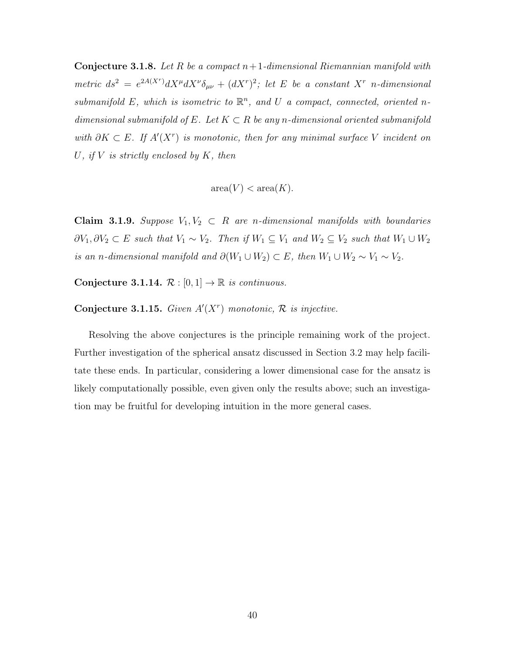Conjecture 3.1.8. *Let R be a compact n*+1*-dimensional Riemannian manifold with*  $metric$   $ds^2 = e^{2A(X^r)}dX^{\mu}dX^{\nu}\delta_{\mu\nu} + (dX^r)^2$ ; let *E be a constant*  $X^r$  *n*-dimensional submanifold  $E$ , which is isometric to  $\mathbb{R}^n$ , and  $U$  a compact, connected, oriented *ndimensional submanifold of*  $E$ *. Let*  $K \subset R$  *be any n-dimensional oriented submanifold* with  $\partial K \subset E$ . If  $A'(X^r)$  is monotonic, then for any minimal surface V incident on *U, if V is strictly enclosed by K, then*

 $area(V) < area(K)$ .

Claim 3.1.9. *Suppose*  $V_1, V_2 \subset R$  *are n*-dimensional manifolds with boundaries  $\partial V_1, \partial V_2 \subset E$  such that  $V_1 \sim V_2$ . Then if  $W_1 \subseteq V_1$  and  $W_2 \subseteq V_2$  such that  $W_1 \cup W_2$ *is an n-dimensional manifold and*  $\partial(W_1 \cup W_2) \subset E$ , then  $W_1 \cup W_2 \sim V_1 \sim V_2$ .

Conjecture 3.1.14.  $\mathcal{R} : [0,1] \to \mathbb{R}$  *is continuous.* 

**Conjecture 3.1.15.** Given  $A'(X^r)$  monotonic,  $\mathcal{R}$  is injective.

Resolving the above conjectures is the principle remaining work of the project. Further investigation of the spherical ansatz discussed in Section [3.2](#page-28-0) may help facilitate these ends. In particular, considering a lower dimensional case for the ansatz is likely computationally possible, even given only the results above; such an investigation may be fruitful for developing intuition in the more general cases.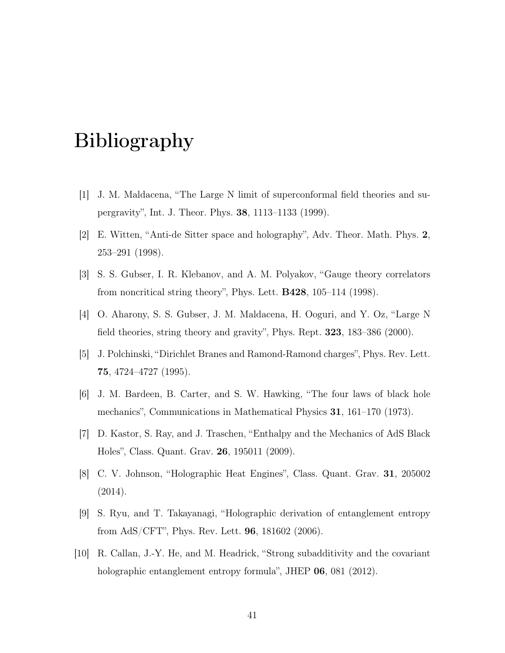# Bibliography

- <span id="page-41-0"></span>[1] J. M. Maldacena, "The Large N limit of superconformal field theories and supergravity", [Int. J. Theor. Phys.](http://dx.doi.org/10.1023/A:1026654312961) 38, 1113–1133 (1999).
- <span id="page-41-1"></span>[2] E. Witten, "Anti-de Sitter space and holography", Adv. Theor. Math. Phys. 2, 253–291 (1998).
- <span id="page-41-2"></span>[3] S. S. Gubser, I. R. Klebanov, and A. M. Polyakov, "Gauge theory correlators from noncritical string theory", Phys. Lett. B428[, 105–114 \(1998\).](http://dx.doi.org/10.1016/S0370-2693(98)00377-3)
- <span id="page-41-3"></span>[4] O. Aharony, S. S. Gubser, J. M. Maldacena, H. Ooguri, and Y. Oz, "Large N field theories, string theory and gravity", Phys. Rept. 323[, 183–386 \(2000\).](http://dx.doi.org/10.1016/S0370-1573(99)00083-6)
- <span id="page-41-4"></span>[5] J. Polchinski, "Dirichlet Branes and Ramond-Ramond charges", [Phys. Rev. Lett.](http://dx.doi.org/10.1103/PhysRevLett.75.4724) 75[, 4724–4727 \(1995\).](http://dx.doi.org/10.1103/PhysRevLett.75.4724)
- <span id="page-41-5"></span>[6] J. M. Bardeen, B. Carter, and S. W. Hawking, "The four laws of black hole mechanics", [Communications in Mathematical Physics](http://dx.doi.org/10.1007/BF01645742) 31, 161–170 (1973).
- <span id="page-41-6"></span>[7] D. Kastor, S. Ray, and J. Traschen, "Enthalpy and the Mechanics of AdS Black Holes", [Class. Quant. Grav.](http://dx.doi.org/10.1088/0264-9381/26/19/195011) 26, 195011 (2009).
- <span id="page-41-7"></span>[8] C. V. Johnson, "Holographic Heat Engines", [Class. Quant. Grav.](http://dx.doi.org/10.1088/0264-9381/31/20/205002) 31, 205002 [\(2014\).](http://dx.doi.org/10.1088/0264-9381/31/20/205002)
- <span id="page-41-8"></span>[9] S. Ryu, and T. Takayanagi, "Holographic derivation of entanglement entropy from AdS/CFT", [Phys. Rev. Lett.](http://dx.doi.org/10.1103/PhysRevLett.96.181602) 96, 181602 (2006).
- <span id="page-41-9"></span>[10] R. Callan, J.-Y. He, and M. Headrick, "Strong subadditivity and the covariant holographic entanglement entropy formula", JHEP 06[, 081 \(2012\).](http://dx.doi.org/10.1007/JHEP06(2012)081)